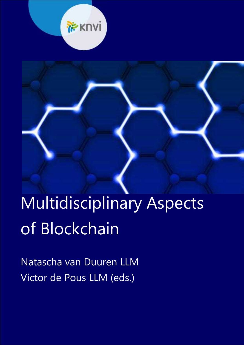

# Multidisciplinary Aspects of Blockchain

Natascha van Duuren LLM Victor de Pous LLM (eds.)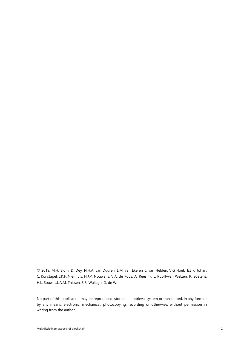© 2019, M.H. Blom, D. Dey, N.H.A. van Duuren, L.M. van Ekeren, J. van Helden, V.G Hoek, E.S.R. Johan, C. Konstapel, J.K.F. Nienhuis, H.J.P. Nouwens, V.A. de Pous, A. Reesink, L. Ruoff–van Welzen, R. Soetens, H.L. Souw, L.L.A.M. Thissen, S.R. Wallagh, D. de Wit.

No part of this publication may be reproduced, stored in a retrieval system or transmitted, in any form or by any means, electronic, mechanical, photocopying, recording or otherwise, without permission in writing from the author.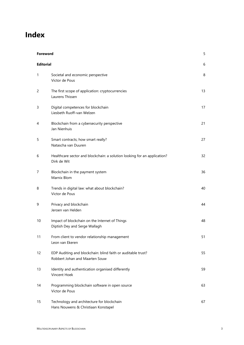# **Index**

| Foreword         |                                                                                                | 5  |
|------------------|------------------------------------------------------------------------------------------------|----|
| <b>Editorial</b> |                                                                                                | 6  |
| 1                | Societal and economic perspective<br>Victor de Pous                                            | 8  |
| 2                | The first scope of application: cryptocurrencies<br>Laurens Thissen                            | 13 |
| 3                | Digital competences for blockchain<br>Liesbeth Ruoff-van Welzen                                | 17 |
| 4                | Blockchain from a cybersecurity perspective<br>Jan Nienhuis                                    | 21 |
| 5                | Smart contracts; how smart really?<br>Natascha van Duuren                                      | 27 |
| 6                | Healthcare sector and blockchain: a solution looking for an application?<br>Dirk de Wit        | 32 |
| 7                | Blockchain in the payment system<br>Marnix Blom                                                | 36 |
| 8                | Trends in digital law: what about blockchain?<br>Victor de Pous                                | 40 |
| 9                | Privacy and blockchain<br>Jeroen van Helden                                                    | 44 |
| 10               | Impact of blockchain on the Internet of Things<br>Diptish Dey and Serge Wallagh                | 48 |
| 11               | From client to vendor relationship management<br>Leon van Ekeren                               | 51 |
| 12               | EDP Auditing and blockchain: blind faith or auditable trust?<br>Robbert Johan and Maarten Souw | 55 |
| 13               | Identity and authentication organised differently<br>Vincent Hoek                              | 59 |
| 14               | Programming blockchain software in open source<br>Victor de Pous                               | 63 |
| 15               | Technology and architecture for blockchain<br>Hans Nouwens & Christiaan Konstapel              | 67 |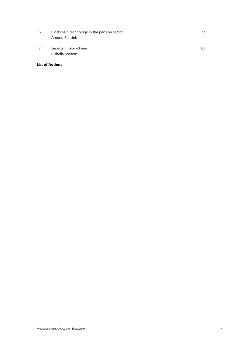- 16 Blockchain technology in the pension sector **16** Blockchain technology in the pension sector Arnoud Reesink
- 17 Liability in blockchains 82 Richella Soetens

# **List of Authors**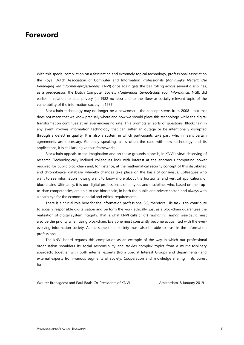# **Foreword**

With this special compilation on a fascinating and extremely topical technology, professional association the Royal Dutch Association of Computer and Information Professionals (*Koninklijke Nederlandse Vereniging van Informatieprofessionals*, KNVI) once again gets the ball rolling across several disciplines, as a predecessor, the Dutch Computer Society (*Nederlands Genootschap voor Informatica*, NGI), did earlier in relation to data privacy (in 1982 no less) and to the likewise socially-relevant topic of the vulnerability of the information society in 1987.

Blockchain technology may no longer be a newcomer - the concept stems from 2008 - but that does not mean that we know precisely where and how we should place this technology, while the digital transformation continues at an ever-increasing rate. This prompts all sorts of questions. Blockchain in any event involves information technology that can suffer an outage or be intentionally disrupted through a defect in quality. It is also a system in which participants take part, which means certain agreements are necessary. Generally speaking, as is often the case with new technology and its applications, it is still lacking various frameworks.

Blockchain appeals to the imagination and on these grounds alone is, in KNVI's view, deserving of research. Technologically inclined colleagues look with interest at the enormous computing power required for public blockchain and, for instance, at the mathematical security concept of this distributed and chronological database, whereby changes take place on the basis of consensus. Colleagues who want to see information flowing want to know more about the horizontal and vertical applications of blockchains. Ultimately, it is our digital professionals of all types and disciplines who, based on their upto-date competencies, are able to use blockchain, in both the public and private sector, and always with a sharp eye for the economic, social and ethical requirements.

There is a crucial role here for the information professional 3.0, therefore. His task is to contribute to socially responsible digitalisation and perform the work ethically, just as a blockchain guarantees the realisation of digital system integrity. That is what KNVI calls *Smart Humanity*. *Human well-being* must also be the priority when using blockchain. Everyone must constantly become acquainted with the ever evolving information society. At the same time, society must also be able to trust in the information professional.

The KNVI board regards this compilation as an example of the way in which our professional organisation shoulders its social responsibility and tackles complex topics from a multidisciplinary approach; together with both internal experts (from Special Interest Groups and departments) and external experts from various segments of society. Cooperation and knowledge sharing in its purest form.

Wouter Bronsgeest and Paul Baak, Co-Presidents of KNVI Amsterdam, 8 January 2019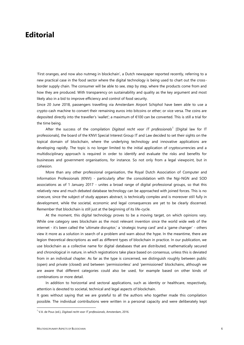# **Editorial**

'First oranges, and now also nutmeg in blockchain', a Dutch newspaper reported recently, referring to a new practical case in the food sector where the digital technology is being used to chart out the cross border supply chain. The consumer will be able to see, step by step, where the products come from and how they are produced. With transparency on sustainability and quality as the key argument and most likely also in a bid to improve efficiency and control of food security.

Since 20 June 2018, passengers travelling via Amsterdam Airport Schiphol have been able to use a crypto-cash machine to convert their remaining euros into bitcoins or ether; or vice versa. The coins are deposited directly into the traveller's 'wallet'; a maximum of €100 can be converted. This is still a trial for the time being.

After the success of the compilation *Digitaal recht voor IT professionals*<sup>1</sup> [Digital law for IT professionals], the board of the KNVI Special Interest Group IT and Law decided to set their sights on the topical domain of blockchain, where the underlying technology and innovative applications are developing rapidly. The topic is no longer limited to the initial application of cryptocurrencies and a multidisciplinary approach is required in order to identify and evaluate the risks and benefits for businesses and government organisations, for instance. So not only from a legal viewpoint, but in cohesion.

More than any other professional organisation, the Royal Dutch Association of Computer and Information Professionals (KNVI) - particularly after the consolidation with the Ngi-NGN and SOD associations as of 1 January 2017 - unites a broad range of digital professional groups, so that this relatively new and much debated database technology can be approached with joined forces. This is no sinecure, since the subject of study appears abstract, is technically complex and is moreover still fully in development, while the societal, economic and legal consequences are yet to be clearly discerned. Remember that blockchain is still just at the beginning of its life-cycle.

At the moment, this digital technology proves to be a moving target, on which opinions vary. While one category sees blockchain as the most relevant invention since the world wide web of the internet - it's been called the 'ultimate disruptor,' a 'strategic trump card' and a 'game changer' - others view it more as a solution in search of a problem and warn about the hype. In the meantime, there are legion theoretical descriptions as well as different types of blockchain in practice. In our publication, we use blockchain as a collective name for digital databases that are distributed, mathematically secured and chronological in nature, in which registrations take place based on consensus, unless this is deviated from in an individual chapter. As far as the type is concerned, we distinguish roughly between public (open) and private (closed) and between 'permissionless' and 'permissioned' blockchains, although we are aware that different categories could also be used, for example based on other kinds of combinations or more detail.

In addition to horizontal and sectoral applications, such as identity or healthcare, respectively, attention is devoted to societal, technical and legal aspects of blockchain.

It goes without saying that we are grateful to all the authors who together made this compilation possible. The individual contributions were written in a personal capacity and were deliberately kept

<sup>1</sup> V.A. de Pous (ed.), *Digitaal recht voor IT professionals*, Amsterdam, 2016.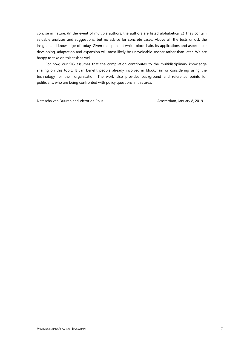concise in nature. (In the event of multiple authors, the authors are listed alphabetically.) They contain valuable analyses and suggestions, but no advice for concrete cases. Above all, the texts unlock the insights and knowledge of today. Given the speed at which blockchain, its applications and aspects are developing, adaptation and expansion will most likely be unavoidable sooner rather than later. We are happy to take on this task as well.

For now, our SIG assumes that the compilation contributes to the multidisciplinary knowledge sharing on this topic. It can benefit people already involved in blockchain or considering using the technology for their organisation. The work also provides background and reference points for politicians, who are being confronted with policy questions in this area.

Natascha van Duuren and Victor de Pous **Amsterdam, January 8, 2019**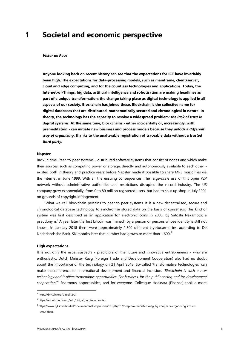# **1 Societal and economic perspective**

#### *Victor de Pous*

**Anyone looking back on recent history can see that the expectations for ICT have invariably been high. The expectations for data-processing models, such as mainframe, client/server, cloud and edge computing, and for the countless technologies and applications. Today, the Internet-of-Things, big data, artificial intelligence and robotisation are making headlines as part of a unique transformation: the change taking place as digital technology is applied in all aspects of our society. Blockchain has joined these. Blockchain is the collective name for digital databases that are distributed, mathematically secured and chronological in nature. In theory, the technology has the capacity to resolve a widespread problem:** *the lack of trust in digital systems.* **At the same time, blockchains - either incidentally or, increasingly, with premeditation - can initiate new business and process models because they unlock a** *different way of organising***, thanks to the unalterable registration of traceable data without a** *trusted third party***.**

#### **Napster**

Back in time. Peer-to-peer systems - distributed software systems that consist of nodes and which make their sources, such as computing power or storage, directly and autonomously available to each other existed both in theory and practice years before Napster made it possible to share MP3 music files via the Internet in June 1999. With all the ensuing consequences. The large-scale use of this open P2P network without administrative authorities and restrictions disrupted the record industry. The US company grew exponentially, from 0 to 80 million registered users, but had to shut up shop in July 2001 on grounds of copyright infringement.

What we call blockchain pertains to peer-to-peer systems. It is a new decentralised, secure and chronological database technology to synchronise stored data on the basis of consensus. This kind of system was first described as an application for electronic coins in 2008, by Satoshi Nakamoto; a pseudonym.<sup>2</sup> A year later the first bitcoin was 'mined', by a person or persons whose identity is still not known. In January 2018 there were approximately 1,300 different cryptocurrencies, according to De Nederlandsche Bank. Six months later that number had grown to more than  $1.600<sup>3</sup>$ 

#### **High expectations**

It is not only the usual suspects - predictors of the future and innovative entrepreneurs - who are enthusiastic. Dutch Minister Kaag (Foreign Trade and Development Cooperation) also had no doubt about the importance of the technology on 21 April 2018. So-called 'transformative technologies' can make the difference for international development and financial inclusion. '*Blockchain is such a new technology and it offers tremendous opportunities. For business, for the public sector, and for development cooperation'*.<sup>4</sup> Enormous opportunities, and for everyone. Colleague Hoekstra (Finance) took a more

<sup>2</sup> https://bitcoin.org/bitcoin.pdf

<sup>&</sup>lt;sup>3</sup> https://en.wikipedia.org/wiki/List\_of\_cryptocurrencies

<sup>4</sup> https://www.rijksoverheid.nl/documenten/toespraken/2018/04/21/toespraak-minister-kaag-bij-voorjaarsvergadering-imf-en wereldbank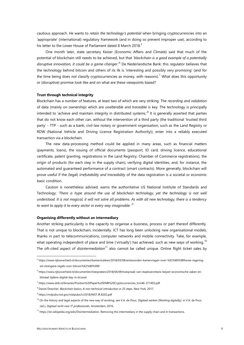cautious approach. He wants to *retain the technology's potential* when bringing cryptocurrencies into an 'appropriate' (international) regulatory framework (and in doing so prevent improper use), according to his letter to the Lower House of Parliament dated 8 March 2018.<sup>5</sup>

One month later, state secretary Keizer (Economic Affairs and Climate) said that much of the potential of blockchain still needs to be achieved, but that '*blockchain is a good example of a potentially disruptive innovation, it could be a game-changer*.'<sup>6</sup> De Nederlandsche Bank: this regulator believes that the technology behind bitcoin and others of its ilk is 'interesting and possibly very promising' (and for the time being does *not* classify cryptocurrencies as money, with reasons).<sup>7</sup> What does this opportunity or (disruptive) promise look like and on what are these viewpoints based?

## **Trust through technical integrity**

Blockchain has a number of features, at least two of which are very striking. The *recording and validation* of data (mainly on ownership) which are *unalterable* and *traceable* is key. The technology is principally intended to 'achieve and maintain integrity in distributed systems.'<sup>8</sup> It is generally asserted that parties that do not know each other can, without the intervention of a third party (the traditional 'trusted third party' - TTP - such as a bank, civil-law notary or government organisation, such as the Land Registry or RDW (National Vehicle and Driving Licence Registration Authority)), enter into a reliably executed transaction via a blockchain.

The new data-processing method could be applied in many areas, such as financial matters (payments, loans), the issuing of official documents (passport, ID card, driving licence, educational certificate, patent granting, registrations in the Land Registry, Chamber of Commerce registrations), the origin of products (for each step in the supply chain), verifying digital identities, and, for instance, the automated and guaranteed performance of a contract (smart contracts). More generally, blockchain will prove useful if the (legal) *irrefutability and traceability* of the data registration is a societal or economic basic condition.

Caution is nonetheless advised, warns the authoritative US National Institute of Standards and Technology: *'There is hype around the use of blockchain technology, yet the technology is not well understood. It is not magical; it will not solve all problems. As with all new technology, there is a tendency to want to apply it to every sector in every way imaginable.'* <sup>9</sup>

# **Organising differently without an intermediary**

Another striking particularity is the capacity to organise a business, process or part thereof differently. That is not unique to blockchain, incidentally. ICT has long been unlocking new organisational models, thanks in part to telecommunications, computer networks and mobile connectivity. Take, for example, what operating independent of place and time ('virtually') has achieved, such as new ways of working.<sup>10</sup> The oft-cited aspect of *disintermediation*<sup>11</sup> also cannot be called unique. Online flight ticket sales by

<sup>5</sup> https://www.rijksoverheid.nl/documenten/kamerstukken/2018/03/08/antwoorden-kamervragen-over-%E2%80%98franse-regering wil-strengere-regels-voor-bitcoin%E2%80%999

<sup>6</sup> https://www.rijksoverheid.nl/documenten/toespraken/2018/04/09/toespraak-van-staatssecretaris-keijzer-economische-zaken-en klimaat-tijdens-digital-day-in-brussel

<sup>7</sup> https://www.dnb.nl/binaries/Position%20Paper%20DNB%20Cryptocurrencies\_tcm46-371493.pdf

<sup>8</sup> Daniel Drescher, *Blockchain basics, A non-technical introduction in 25 steps*, New York, 2017.

<sup>9</sup> https://nvlpubs.nist.gov/nistpubs/ir/2018/NIST.IR.8202.pdf

<sup>10</sup> On the history and legal aspects of the new way of working, see V.A. de Pous, *Digitaal werken [Working digitally]*, in V.A. de Pous (ed.), *Digitaal recht voor IT professionals*, Amsterdam, 2016.

 $11$  https://en.wikipedia.org/wiki/Disintermediation. Removing the intermediary in the supply chain and in transactions.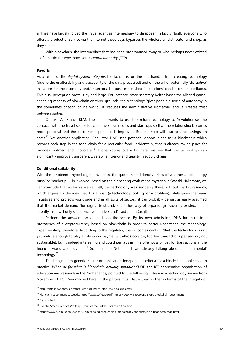airlines have largely forced the travel agent as intermediary to disappear. In fact, virtually everyone who offers a product or service via the internet these days bypasses the wholesaler, distributor and shop, as they see fit.

With blockchain, the intermediary that has been programmed away or who perhaps never existed is of a particular type, however: a *central authority* (TTP).

## **Payoffs**

As a result of the *digital system integrity*, blockchain is, on the one hand, a trust-creating technology (due to the unalterability and traceability of the data processed) and on the other potentially 'disruptive' in nature for the economy and/or sectors, because established 'institutions' can become superfluous. This dual perception prevails by and large. For instance, state secretary Keizer bases the alleged game changing capacity of blockchain on three grounds: the technology 'gives people a sense of autonomy in the sometimes chaotic online world', it 'reduces the administrative rigmarole' and it 'creates trust between parties'.

Or take Air France-KLM. The airline wants to use blockchain technology to 'revolutionise' the contacts with the travel sector for customers, businesses and start-ups so that the relationship becomes more personal and the customer experience is improved. But this step will also achieve savings on costs.<sup>12</sup> Yet another application. Regulator DNB sees potential opportunities for a blockchain which records each step in the food chain for a particular food. Incidentally, that is already taking place for oranges, nutmeg and chocolate.<sup>13</sup> If one zooms out a bit here, we see that the technology can significantly improve transparency, safety, efficiency and quality in supply chains.

#### **Conditional suitability**

With the umpteenth hyped digital invention, the question traditionally arises of whether a 'technology push' or 'market pull' is involved. Based on the pioneering work of the mysterious Satoshi Nakamoto, we can conclude that as far as we can tell, the technology was suddenly there, without market research, which argues for the idea that it is a push (a technology looking for a problem), while given the many initiatives and projects worldwide and in all sorts of sectors, it can probably be just as easily assumed that the market demand (for digital trust and/or another way of organising) evidently existed; albeit latently. 'You will only see it once you understand', said Johan Cruijff.

Perhaps the answer also depends on the sector. By its own admission, DNB has built four prototypes of a cryptocurrency based on blockchain in order to better understand the technology. Experimentally, therefore. According to the regulator, the outcomes confirm 'that the technology is not yet mature enough to play a role in our payments traffic (too slow, too few transactions per second, not sustainable), but is indeed interesting and could perhaps in time offer possibilities for transactions in the financial world and beyond.<sup>14</sup> Some in the Netherlands are already talking about a 'fundamental' technology.<sup>15</sup>

This brings us to generic, sector or application-independent criteria for a blockchain application in practice. *When or for what is blockchain actually suitable?* SURF, the ICT cooperative organisation of education and research in the Netherlands, pointed to the following criteria in a technology survey from November 2017.<sup>16</sup> Summarised here: (i) the parties must distrust each other in terms of the integrity of

<sup>12</sup> http://finteknews.com/air-france-klm-turning-to-blockchain-to-cut-costs/

<sup>13</sup> Not every experiment succeeds. https://www.coffeepro.nl/nl/nieuws/tony-chocolony-stopt-blockchain-experiment

 $14$  T a.p. note 5.

<sup>&</sup>lt;sup>15</sup> Like the Smart Contract Working Group of the Dutch Blockchain Coalition.

<sup>16</sup> https://www.surf.nl/kennisbank/2017/technologieverkenning-blockchain-voor-surfnet-en-haar-achterban.html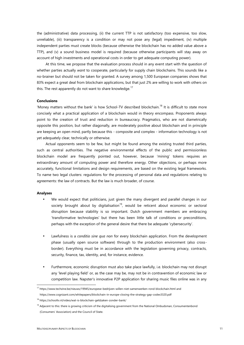the (administrative) data processing, (ii) the current TTP is not satisfactory (too expensive, too slow, unreliable), (iii) transparency is a condition or may not pose any (legal) impediment, (iv) multiple independent parties must create blocks (because otherwise the blockchain has no added value above a TTP), and (v) a sound business model is required (because otherwise participants will stay away on account of high investments and operational costs in order to get adequate computing power).

At this time, we propose that the evaluation process should in any event start with the question of whether parties actually *want* to cooperate, particularly for supply chain blockchains. This sounds like a no-brainer but should not be taken for granted. A survey among 1,500 European companies shows that 83% expect a great deal from blockchain applications, but that just 2% are willing to work with others on this. The rest apparently do not want to share knowledge.<sup>17</sup>

#### **Conclusions**

'Money matters without the bank' is how School-TV described blockchain.<sup>18</sup> It is difficult to state more concisely what a practical application of a blockchain would in theory encompass. Proponents always point to the creation of trust and reduction in bureaucracy. Pragmatics, who are not diametrically opposite this position, but rather diagonally, are moderately positive about blockchain and in principle are keeping an open mind, partly because this - composite and complex - information technology is not yet adequately clear, technically or otherwise.

Actual opponents seem to be few, but might be found among the existing trusted third parties, such as central authorities. The negative environmental effects of the public and permissionless blockchain model are frequently pointed out, however, because 'mining' tokens requires an extraordinary amount of computing power and therefore energy. Other objections, or perhaps more accurately, functional limitations and design requirements, are based on the existing legal frameworks. To name two legal clusters: regulations for the processing of personal data and regulations relating to agreements: the law of contracts. But the law is much broader, of course.

## **Analyses**

- We would expect that politicians, just given the many divergent and parallel changes in our society brought about by digitalisation<sup>19</sup>, would be reticent about economic or sectoral disruption because stability is so important. Dutch government members are embracing 'transformative technologies' but there has been little talk of conditions or preconditions, perhaps with the exception of the general desire that there be adequate 'cybersecurity'.
- Lawfulness is a *conditio sine qua non* for every blockchain application. From the development phase (usually open source software) through to the production environment (also cross border). Everything must be in accordance with the legislation governing privacy, contracts, security, finance, tax, identity, and, for instance, evidence.
- Furthermore, economic disruption must also take place lawfully, i.e. blockchain may not disrupt any 'level playing field' or, as the case may be, may not be in contravention of economic law or competition law. Napster's innovative P2P application for sharing music files online was in any

<sup>17</sup> https://www.techzine.be/nieuws/19945/europese-bedrijven-willen-niet-samenwerken-rond-blockchain.html and

https://www.cognizant.com/whitepapers/blockchain-in-europe-closing-the-strategy-gap-codex3320.pdf

<sup>18</sup> https://schooltv.nl/video/wat-is-blockchain-geldzaken-zonder-bank/

<sup>&</sup>lt;sup>19</sup> Adjacent to this: there is growing criticism of the digitalising government from the National Ombudsman, Consumentenbond (Consumers' Association) and the Council of State.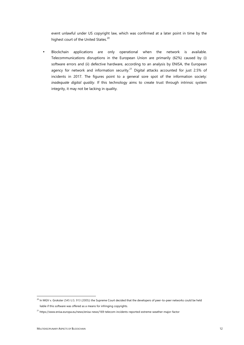event unlawful under US copyright law, which was confirmed at a later point in time by the highest court of the United States.<sup>20</sup>

 Blockchain applications are only operational when the network is available. Telecommunications disruptions in the European Union are primarily (62%) caused by (i) software errors and (ii) defective hardware, according to an analysis by ENISA, the European agency for network and information security.<sup>21</sup> Digital attacks accounted for just 2.5% of incidents in 2017. The figures point to a general sore spot of the information society: *inadequate digital quality*. If this technology aims to create trust through intrinsic system integrity, it may not be lacking in quality.

<sup>&</sup>lt;sup>20</sup> In MGV v. Grokster (545 U.S. 913 (2005)) the Supreme Court decided that the developers of peer-to-peer networks could be held liable if this software was offered as a means for infringing copyrights.

<sup>21</sup> https://www.enisa.europa.eu/news/enisa-news/169-telecom-incidents-reported-extreme-weather-major-factor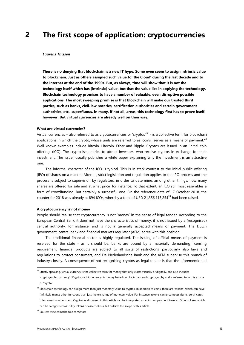# **2 The first scope of application: cryptocurrencies**

#### *Laurens Thissen*

**There is no denying that blockchain is a new IT hype. Some even seem to assign intrinsic value to blockchain. Just as others assigned such value to 'the Cloud' during the last decade and to the internet at the end of the 1990s. But, as always, time will show that it is not the technology itself which has (intrinsic) value, but that the value lies in applying the technology. Blockchain technology promises to have a number of valuable, even disruptive possible applications. The most sweeping promise is that blockchain will make our trusted third parties, such as banks, civil-law notaries, certification authorities and certain government authorities, etc., superfluous. In many, if not all, areas, this technology first has to prove itself, however. But virtual currencies are already well on their way.**

## **What are virtual currencies?**

Virtual currencies – also referred to as cryptocurrencies or 'cryptos'<sup>22</sup> - is a collective term for blockchain applications in which the crypto, whose units are referred to as 'coins', serves as a means of payment.<sup>23</sup> Well-known examples include Bitcoin, Litecoin, Ether and Ripple. Cryptos are issued in an 'initial coin offering' (ICO). The crypto-issuer tries to attract investors, who receive cryptos in exchange for their investment. The issuer usually publishes a white paper explaining why the investment is an attractive one.

The informal character of the ICO is typical. This is in stark contrast to the initial public offering (IPO) of shares on a market. After all, strict legislation and regulation applies to the IPO process and the process is subject to supervision by regulators, in order to determine, among other things, how many shares are offered for sale and at what price, for instance. To that extent, an ICO still most resembles a form of crowdfunding. But certainly a successful one. On the reference date of 17 October 2018, the counter for 2018 was already at 894 ICOs, whereby a total of USD 21,356,115,254 $^{24}$  had been raised.

## **A cryptocurrency is not money**

People should realise that cryptocurrency is not 'money' in the sense of legal tender. According to the European Central Bank, it does not have the characteristics of money: it is not issued by a (recognised) central authority, for instance, and is not a generally accepted means of payment. The Dutch government, central bank and financial markets regulator (AFM) agree with this position.

The traditional financial sector is highly regulated. The issuing of official means of payment is reserved for the state - as it should be; banks are bound by a materially demanding licensing requirement, financial products are subject to all sorts of restrictions, particularly also laws and regulations to protect consumers, and De Nederlandsche Bank and the AFM supervise this branch of industry closely. A consequence of not recognising cryptos as legal tender is that the aforementioned

<sup>&</sup>lt;sup>22</sup> Strictly speaking, virtual currency is the collective term for money that only exists virtually or digitally, and also includes 'cryptographic currency'. 'Cryptographic currency' is money based on blockchain and cryptography and is referred to in this article as 'crypto'.

<sup>&</sup>lt;sup>23</sup> Blockchain technology can assign more than just monetary value to cryptos. In addition to coins, there are 'tokens', which can have (infinitely many) other functions than just the exchange of monetary value. For instance, tokens can encompass rights, certificates, titles, smart contracts, etc. Cryptos as discussed in this article can be interpreted as 'coins' or 'payment tokens'. Other tokens, which can be categorised as utility tokens or asset tokens, fall outside the scope of this article.

<sup>&</sup>lt;sup>24</sup> Source: www.coinschedule.com/stats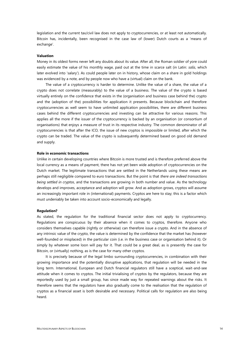legislation and the current tax/civil law does not apply to cryptocurrencies, or at least not automatically. Bitcoin has, incidentally, been recognised in the case law of (lower) Dutch courts as a 'means of exchange'.

# **Valuation**

Money in its oldest forms never left any doubts about its value. After all, the Roman soldier of yore could easily estimate the value of his monthly wage, paid out at the time in scarce salt (in Latin: *salis*, which later evolved into 'salary'). As could people later on in history, whose claim on a share in gold holdings was evidenced by a note, and by people now who have a (virtual) claim on the bank.

The value of a cryptocurrency is harder to determine. Unlike the value of a share, the value of a crypto does not correlate (measurably) to the value of a business. The value of the crypto is based virtually entirely on the confidence that exists in the (organisation and business case behind the) crypto and the (adoption of the) possibilities for application it presents. Because blockchain and therefore cryptocurrencies as well seem to have unlimited application possibilities, there are different business cases behind the different cryptocurrencies and investing can be attractive for various reasons. This applies all the more if the issuer of the cryptocurrency is backed by an organisation (or consortium of organisations) that enjoys a measure of trust in its respective industry. The common denominator of all cryptocurrencies is that after the ICO, the issue of new cryptos is impossible or limited, after which the crypto can be traded. The value of the crypto is subsequently determined based on good old demand and supply.

#### **Role in economic transactions**

Unlike in certain developing countries where Bitcoin is more trusted and is therefore preferred above the local currency as a means of payment, there has not yet been wide adoption of cryptocurrencies on the Dutch market. The legitimate transactions that are settled in the Netherlands using these means are perhaps still negligible compared to euro transactions. But the point is that *there are indeed transactions being settled in cryptos*, and the transactions are growing in both number and value. As the technology develops and improves, acceptance and adoption will grow. And as adoption grows, cryptos will assume an increasingly important role in (international) payments. Cryptos are here to stay; this is a factor which must undeniably be taken into account socio-economically and legally.

#### **Regulation?**

As stated, the regulation for the traditional financial sector does not apply to cryptocurrency. Regulations are conspicuous by their absence when it comes to cryptos, therefore. Anyone who considers themselves capable (rightly or otherwise) can therefore issue a crypto. And in the absence of any intrinsic value of the crypto, the value is determined by the confidence that the market has (however well-founded or misplaced) in the particular coin (i.e. in the business case or organisation behind it). Or simply by whatever some loon will pay for it. That could be a great deal, as is presently the case for Bitcoin, or (virtually) nothing, as is the case for many other cryptos.

It is precisely because of the legal limbo surrounding cryptocurrencies, in combination with their growing importance and the potentially disruptive applications, that regulation will be needed in the long term. International, European and Dutch financial regulators still have a sceptical, wait-and-see attitude when it comes to cryptos. The initial trivialising of cryptos by the regulators, because they are reportedly used by just a small group, has since made way for repeated warnings about the risks. It therefore seems that the regulators have also gradually come to the realisation that the regulation of cryptos as a financial asset is both desirable and necessary. Political calls for regulation are also being heard.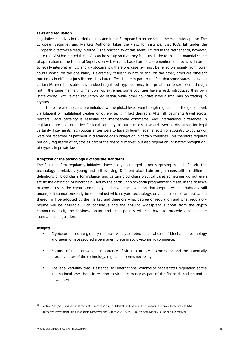#### **Laws and regulation**

Legislative initiatives in the Netherlands and in the European Union are still in the exploratory phase. The European Securities and Markets Authority takes the view, for instance, that ICOs fall under the European directives already in force.<sup>25</sup> The practicality of this seems limited in the Netherlands, however, since the AFM has hinted that ICOs can be set up so that they fall outside the formal and material scope of application of the Financial Supervision Act, which is based on the aforementioned directives. In order to legally interpret an ICO and cryptocurrency, therefore, case law must be relied on, mainly from lower courts, which, on the one hand, is extremely casuistic in nature and, on the other, produces different outcomes in different jurisdictions. This latter effect is due in part to the fact that some states, including certain EU member states, have indeed regulated cryptocurrency to a greater or lesser extent, though not in the same manner. To mention two extremes: some countries have already introduced their own 'state crypto' with related regulatory legislation, while other countries have a total ban on trading in cryptos.

There are also no concrete initiatives at the global level. Even though regulation at the global level, via bilateral or multilateral treaties or otherwise, is in fact desirable. After all, payments travel across borders. Legal certainty is essential for international commerce. And international differences in legislation are not conducive for legal certainty, to put it mildly. It would even be disastrous for legal certainty if payments in cryptocurrencies were to have different (legal) effects from country to country or were not regarded as payment in discharge of an obligation in certain countries. This therefore requires not only regulation of cryptos as part of the financial market, but also regulation (or better: recognition) of cryptos in private law.

# **Adoption of the technology dictates the standards**

The fact that firm regulatory initiatives have not yet emerged is not surprising in and of itself. The technology is relatively young and still evolving. Different blockchain programmers still use different definitions of blockchain, for instance, and certain blockchain practical cases sometimes do not even satisfy the definition of blockchain used by the particular blockchain programmer himself. In the absence of consensus in the crypto community and given the evolution that cryptos will undoubtedly still undergo, it cannot presently be determined which crypto technology, or variant thereof, or application thereof, will be adopted by the market, and therefore what degree of regulation and what regulatory regime will be desirable. Such consensus and the ensuing widespread support from the crypto community itself, the business sector and later politics will still have to precede any concrete international regulation.

#### **Insights**

- Cryptocurrencies are globally the most widely adopted practical case of blockchain technology and seem to have secured a permanent place in socio-economic commerce.
- Because of the growing importance of virtual currency in commerce and the potentially disruptive uses of the technology, regulation seems necessary.
- The legal certainty that is essential for international commerce necessitates regulation at the international level, both in relation to virtual currency as part of the financial markets and in private law.

<sup>&</sup>lt;sup>25</sup> Directive 2003/71 (Prospectus Directive), Directive 2014/65 (Markets in Financial Instruments Directive), Directive 2011/61 (Alternative Investment Fund Managers Directive) and Directive 2015/849 (Fourth Anti-Money Laundering Directive).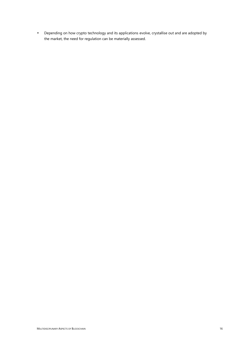Depending on how crypto technology and its applications evolve, crystallise out and are adopted by the market, the need for regulation can be materially assessed.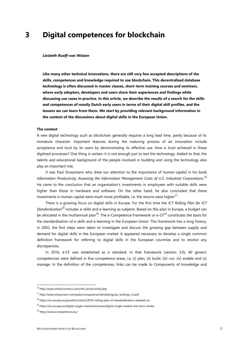# **3 Digital competences for blockchain**

#### *Liesbeth Ruoff–van Welzen*

**Like many other technical innovations, there are still very few accepted descriptions of the skills, competences and knowledge required to use blockchain. This decentralised database technology is often discussed in master classes, short-term training courses and seminars, where early adopters, developers and users share their experiences and findings while discussing use cases in practice. In this article, we describe the results of a search for the skills and competences of mostly Dutch early users in terms of their digital skill profiles, and the lessons we can learn from them. We start by providing relevant background information in the context of the discussions about digital skills in the European Union.**

# **The context**

A new digital technology such as blockchain generally requires a long lead time, partly because of its immature character. Important features during the maturing process of an innovation include acceptance and trust by its users by demonstrating its effective use. How is trust achieved in these digitised processes? One thing is certain: it is not enough just to test the technology. Added to that, the talents and educational background of the people involved in building and using the technology also play an important role.

It was Paul Strassmann who drew our attention to the importance of *human capital* in his book *Information Productivity; Assessing the Information Management Costs of U.S. Industrial Corporations.*<sup>26</sup> He came to the conclusion that an organisation's investments in employees with suitable skills were higher than those in hardware and software. On the other hand, he also concluded that these investments in human capital were much more profitable, i.e. the returns were higher $^{27}$ .

There is a growing focus on digital skills in Europe. For the first time the *ICT Rolling Plan for ICT Standardisation*<sup>28</sup> includes e-skills and e-learning as subjects. Based on this plan in Europe, a budget can be allocated in the multiannual plan<sup>29</sup>. The e-Competence Framework or e-CF<sup>30</sup> constitutes the basis for the standardisation of e-skills and e-learning in the European Union. This framework has a long history. In 2002, the first steps were taken to investigate and discuss the growing gap between supply and demand for digital skills in the European market. It appeared necessary to develop a single common definition framework for referring to digital skills in the European countries and to resolve any discrepancies.

In 2016, e-CF was established as a standard. In that framework (version 3.0), 40 generic competencies were defined in five competence areas, i.e. (i) plan, (ii) build, (iii) run, (iv) enable and (v) manage. In the definition of the competences, links can be made to Components of knowledge and

<sup>26</sup> http://www.infoeconomics.com/info-productivity.php

<sup>&</sup>lt;sup>27</sup> http://www.strassmann.com/pubs/computerworld/rankings/ip\_rankings\_v3.pdf

<sup>&</sup>lt;sup>28</sup> https://ec.europa.eu/growth/content/2018-rolling-plan-ict-standardisation-released\_en

<sup>29</sup> https://ec.europa.eu/digital-single-market/en/news/digital-single-market-mid-term-review

<sup>30</sup> http://www.ecompetences.eu/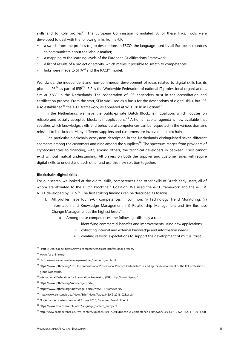skills and to Role profiles $31$ . The European Commission formulated 30 of these links. Tools were developed to deal with the following links from e-CF:

- a switch from the profiles to job descriptions in ESCO, the language used by all European countries to communicate about the labour market;
- a mapping to the learning levels of the European Qualifications Framework;
- a list of results of a project or activity, which makes it possible to switch to competences;
- l links were made to SFIA<sup>32</sup> and the RACI<sup>33</sup> model.

Worldwide, the independent and non-commercial development of ideas related to digital skills has its place in IP3<sup>34</sup> as part of IFIP<sup>35</sup>. IFIP is the Worldwide Federation of national IT professional organisations, similar KNVI in the Netherlands. The cooperation of IP3 engenders trust in the accreditation and certification process. From the start, SFIA was used as a basis for the descriptions of digital skills, but IP3 also established<sup>36</sup> the e-CF framework, as appeared at WCC 2018 in Poznan<sup>37</sup>.

In the Netherlands we have the public-private Dutch Blockchain Coalition, which focuses on reliable and socially accepted blockchain applications.<sup>38</sup> A human capital agenda is now available that specifies which knowledge, skills and behavioural competences can be requested in the various domains relevant to blockchain. Many different suppliers and customers are involved in blockchain.

One particular blockchain ecosystem description in the Netherlands distinguished seven different segments among the customers and nine among the suppliers<sup>39</sup>. The spectrum ranges from providers of cryptocurrencies to financing, with, among others, the technical developers in between. Trust cannot exist without mutual understanding. All players on both the supplier and customer sides will require digital skills to understand each other and use this new solution together.

## **Blockchain digital skills**

For our search, we looked at the digital skills, competences and other skills of Dutch early users, all of whom are affiliated to the Dutch Blockchain Coalition. We used the e-CF framework and the e-CF® NEXT developed by  $EXIN^{40}$ . The first striking findings can be described as follows:

- 1. All profiles have four e-CF competences in common: (i) Technology Trend Monitoring, (ii) Information and Knowledge Management, (iii) Relationship Management and (iv) Business Change Management at the highest levels $^{41}$ .
	- a. Among these competences, the following skills play a role:
		- i. identifying commercial benefits and improvements using new applications
		- ii. collecting internal and external knowledge and information needs
		- iii. creating realistic expectations to support the development of mutual trust

<sup>31</sup> –Part 2: User Guide: http://www.ecompetences.eu/ict-professional-profiles/

<sup>32</sup> www.sfia-online.org

<sup>33</sup> . http://www.valuebasedmanagement.net/methods\_raci.html

<sup>34</sup> https://www.ipthree.org/ IP3, the 'International Professional Practice Partnership' is leading the development of the ICT professions group worldwide.

<sup>35</sup> International Federation for Information Processing (IFIP). http://www.ifip.org/

<sup>36</sup> https://www.ipthree.org/knowledge-portal/

<sup>37</sup> https://www.ipthree.org/knowledge-portal/wcc2018-frameworks/

<sup>&</sup>lt;sup>38</sup>https://www.cencenelec.eu/News/Brief\_News/Pages/NEWS-2016-023.aspx

<sup>&</sup>lt;sup>39</sup> Blockchain ecosystem, version 0.7, June 2018, Economic Board Utrecht

<sup>40</sup> https://www.exin.com/e-cfr-next?language\_content\_entity=nl

<sup>41</sup> http://www.ecompetences.eu/wp-content/uploads/2014/02/European-e-Competence-Framework-3.0\_CEN\_CWA\_16234-1\_2014.pdf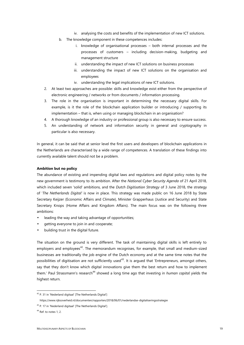- iv. analysing the costs and benefits of the implementation of new ICT solutions.
- b. The knowledge component in these competences includes:
	- i. knowledge of organisational processes both internal processes and the processes of customers – including decision-making, budgeting and management structure
	- ii. understanding the impact of new ICT solutions on business processes
	- iii. understanding the impact of new ICT solutions on the organisation and employees
	- iv. understanding the legal implications of new ICT solutions.
- 2. At least two approaches are possible: skills and knowledge exist either from the perspective of electronic engineering / networks or from documents / information processing.
- 3. The role in the organisation is important in determining the necessary digital skills. For example, is it the role of the blockchain application builder or introducing / supporting its implementation – that is, when using or managing blockchain in an organisation?
- 4. A thorough knowledge of an industry or professional group is also necessary to ensure success.
- 5. An understanding of network and information security in general and cryptography in particular is also necessary.

In general, it can be said that at senior level the first users and developers of blockchain applications in the Netherlands are characterised by a wide range of competences. A translation of these findings into currently available talent should not be a problem.

## **Ambition but no policy**

The abundance of existing and impending digital laws and regulations and digital policy notes by the new government is testimony to its ambition. After the *National Cyber Security Agenda* of 21 April 2018, which included seven 'solid' ambitions, and the *Dutch Digitisation Strategy* of 3 June 2018, the strategy of '*The Netherlands Digital'* is now in place. This strategy was made public on 16 June 2018 by State Secretary Keijzer (Economic Affairs and Climate), Minister Grapperhaus (Justice and Security) and State Secretary Knops (Home Affairs and Kingdom Affairs). The main focus was on the following three ambitions:

- leading the way and taking advantage of opportunities;
- $\int$  getting everyone to join in and cooperate;
- ) building trust in the digital future.

The situation on the ground is very different. The task of maintaining digital skills is left entirely to emplovers and employees<sup>42</sup>. The memorandum recognises, for example, that small and medium-sized businesses are traditionally the job engine of the Dutch economy and at the same time notes that the possibilities of digitisation are not sufficiently used<sup>43</sup>. It is argued that 'Entrepreneurs, amongst others, say that they don't know which digital innovations give them the best return and how to implement them.' Paul Strassmann's research<sup>44</sup> showed a long time ago that investing in *human capital* yields the highest return.

<sup>&</sup>lt;sup>42</sup> P. 31 in 'Nederland digitaal' [The Netherlands Digital']

https://www.rijksoverheid.nl/documenten/rapporten/2018/06/01/nederlandse-digitaliseringsstrategie

<sup>43</sup> P. 17 in 'Nederland digitaal' [The Netherlands Digital'].

<sup>&</sup>lt;sup>44</sup> Ref. to notes 1, 2.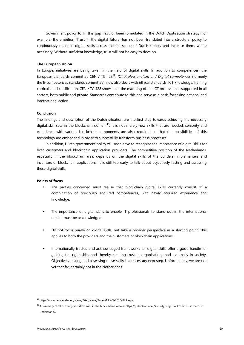Government policy to fill this gap has *not* been formulated in the Dutch Digitisation strategy. For example, the ambition 'Trust in the digital future' has not been translated into a structural policy to continuously maintain digital skills across the full scope of Dutch society and increase them, where necessary. Without sufficient knowledge, trust will not be easy to develop.

#### **The European Union**

In Europe, initiatives are being taken in the field of digital skills. In addition to competences, the European standards committee CEN / TC 428<sup>45</sup>, ICT Professionalism and Digital competences (formerly the E-competences standards committee), now also deals with ethical standards, ICT knowledge, training curricula and certification. CEN / TC 428 shows that the maturing of the ICT profession is supported in all sectors, both public and private. Standards contribute to this and serve as a basis for taking national and international action.

# **Conclusion**

The findings and description of the Dutch situation are the first step towards achieving the necessary digital skill sets in the blockchain domain<sup>46</sup>. It is not merely new skills that are needed; seniority and experience with various blockchain components are also required so that the possibilities of this technology are embedded in order to successfully transform business processes.

In addition, Dutch government policy will soon have to recognise the importance of digital skills for both customers and blockchain application providers. The competitive position of the Netherlands, especially in the blockchain area, depends on the digital skills of the builders, implementers and inventors of blockchain applications. It is still too early to talk about objectively testing and assessing these digital skills.

#### **Points of focus**

- The parties concerned must realise that blockchain digital skills currently consist of a combination of previously acquired competences, with newly acquired experience and knowledge.
- The importance of digital skills to enable IT professionals to stand out in the international market must be acknowledged.
- Do not focus purely on digital skills, but take a broader perspective as a starting point. This applies to both the providers and the customers of blockchain applications.
- Internationally trusted and acknowledged frameworks for digital skills offer a good handle for gaining the right skills and thereby creating trust in organisations and externally in society. Objectively testing and assessing these skills is a necessary next step. Unfortunately, we are not yet that far, certainly not in the Netherlands.

<sup>45</sup> https://www.cencenelec.eu/News/Brief\_News/Pages/NEWS-2016-023.aspx

<sup>46</sup> A summary of all currently specified skills in the blockchain domain: https://patrickmn.com/security/why-blockchain-is-so-hard-to understand/.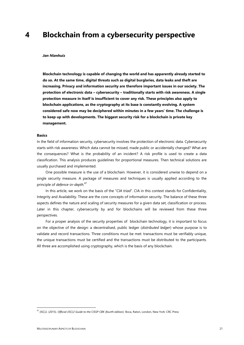# **4 Blockchain from a cybersecurity perspective**

#### *Jan Nienhuis*

**Blockchain technology is capable of changing the world and has apparently already started to do so. At the same time, digital threats such as digital burglaries, data leaks and theft are increasing. Privacy and information security are therefore important issues in our society. The protection of electronic data – cybersecurity – traditionally starts with risk awareness. A single protection measure in itself is insufficient to cover any risk. These principles also apply to blockchain applications, as the cryptography at its base is constantly evolving. A system considered safe now may be deciphered within minutes in a few years' time. The challenge is to keep up with developments. The biggest security risk for a blockchain is private key management.**

#### **Basics**

In the field of information security, cybersecurity involves the protection of electronic data. Cybersecurity starts with risk awareness. Which data cannot be missed, made public or accidentally changed? What are the consequences? What is the probability of an incident? A risk profile is used to create a data classification. This analysis produces guidelines for proportional measures. Then technical solutions are usually purchased and implemented.

One possible measure is the use of a blockchain. However, it is considered unwise to depend on a single security measure. A package of measures and techniques is usually applied according to the principle of *defence-in-depth.*<sup>47</sup>

In this article, we work on the basis of the "*CIA triad*". CIA in this context stands for Confidentiality, Integrity and Availability. These are the core concepts of information security. The balance of these three aspects defines the nature and scaling of security measures for a given data set, classification or process. Later in this chapter, cybersecurity by and for blockchains will be reviewed from these three perspectives.

For a proper analysis of the security properties of blockchain technology, it is important to focus on the objective of the design: a decentralised, public ledger (*distributed ledger*) whose purpose is to validate and record transactions. Three conditions must be met: transactions must be verifiably unique, the unique transactions must be certified and the transactions must be distributed to the participants. All three are accomplished using cryptography, which is the basis of any blockchain.

<sup>47</sup> (ISC)2. (2015). *Official (ISC)2 Guide to the CISSP CBK (fourth edition).* Boca, Raton, London, New York: CRC Press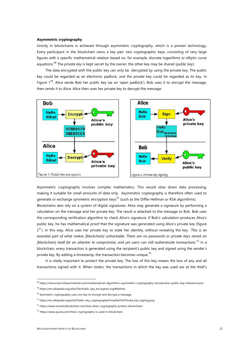# **Asymmetric cryptography**

Unicity in blockchains is achieved through asymmetric cryptography, which is a proven technology. Every participant in the blockchain owns a key pair: two cryptographic keys, consisting of very large figures with a specific mathematical relation based on, for example, discrete logarithms or elliptic curve equations.<sup>48</sup> The *private key* is kept secret by the owner; the other key may be shared (*public key*).

The data encrypted with the public key can only be decrypted by using the private key. The public key could be regarded as an electronic padlock, and the private key could be regarded as its key. In Figure  $1^{49}$ , Alice sends Bob her public key (as an 'open padlock'), Bob uses it to encrypt the message, then sends it to Alice. Alice then uses her private key to decrypt the message.



Asymmetric cryptography involves complex mathematics. This would slow down data processing, making it suitable for small amounts of data only. Asymmetric cryptography is therefore often used to generate or exchange symmetric encryption keys<sup>50</sup> (such as the Diffie-Hellman or RSA algorithms).

Blockchains also rely on a system of digital signatures. Alice may generate a signature by performing a calculation on the message and her private key. The result is attached to the message to Bob. Bob uses the corresponding verification algorithm to check Alice's signature. If Bob's calculation produces Alice's public key, he has mathematical proof that the signature was generated using Alice's private key (figure 2 <sup>51</sup>). In this way, Alice uses her private key to state her identity, without revealing the key. *'This is an essential part of what makes [blockchain] unhackable. There are no passwords or private keys stored on [blockchain] itself for an attacker to compromise, and yet users can still authenticate transactions.*<sup>52</sup> In a blockchain, every transaction is generated using the recipient's public key and signed using the sender's private key. By adding a timestamp, the transaction becomes unique.<sup>53</sup>.

It is vitally important to protect the private key. The loss of this key means the loss of any and all transactions signed with it. When stolen, the transactions in which the key was used are at the thief's

<sup>48</sup> https://resources.infosecinstitute.com/mathematical-algorithms-asymmetric-cryptography-introduction-public-key-infrastructure/

<sup>49</sup> https://en.wikipedia.org/wiki/File:Public\_key\_encryption.svg#filelinks

 $50$  Symmetric cryptography uses one key to encrypt and decrypt a message.

<sup>&</sup>lt;sup>51</sup> https://en.wikipedia.org/wiki/Public-key\_cryptography#/media/File:Private\_key\_signing.png

<sup>52</sup> https://www.investinblockchain.com/how-does-cryptography-protect-blockchain/

<sup>53</sup> https://www.quora.com/How-cryptography-is-used-in-blockchain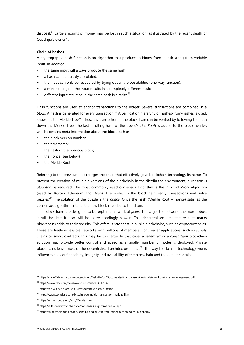disposal.<sup>54</sup> Large amounts of money may be lost in such a situation, as illustrated by the recent death of Quadriga's owner<sup>55</sup>. .

# **Chain of hashes**

A cryptographic hash function is an algorithm that produces a binary fixed-length string from variable input. In addition:

- $\frac{1}{2}$  the same input will always produce the same hash;
- a hash can be quickly calculated;
- the input can only be recovered by trying out all the possibilities (one-way function);
- a minor change in the input results in a completely different hash;
- ) different input resulting in the same hash is a rarity.<sup>56</sup>

Hash functions are used to anchor transactions to the ledger. Several transactions are combined in a *block*. A hash is generated for every transaction.<sup>57</sup> A verification hierarchy of hashes-from-hashes is used, known as the Merkle Tree<sup>58</sup>. Thus, any transaction in the blockchain can be verified by following the path down the Merkle Tree. The last resulting hash of the tree (*Merkle Root*) is added to the block header, which contains meta information about the block such as:

- the block version number;
- the timestamp;
- $\int$  the hash of the previous block;
- the nonce (see below);
- the Merkle Root.

Referring to the previous block forges the chain that effectively gave blockchain technology its name. To prevent the creation of multiple versions of the blockchain in the distributed environment, a *consensus algorithm* is required. The most commonly used consensus algorithm is the Proof-of-Work algorithm (used by Bitcoin, Ethereum and Dash). The nodes in the blockchain verify transactions and solve puzzles<sup>59</sup>. The solution of the puzzle is the *nonce*. Once the hash (Merkle Root + nonce) satisfies the consensus algorithm criteria, the new block is added to the chain.

Blockchains are designed to be kept in a network of *peers*. The larger the network, the more robust it will be, but it also will be correspondingly slower. This decentralised architecture that marks blockchains adds to their security. This effect is strongest in public blockchains, such as cryptocurrencies. These are freely accessible networks with millions of members. For smaller applications, such as supply chains or smart contracts, this may be too large. In that case, a *federated* or a *consortium* blockchain solution may provide better control and speed as a smaller number of nodes is deployed. Private blockchains leave most of the decentralised architecture intact<sup>60</sup>. The way blockchain technology works influences the confidentiality, integrity and availability of the blockchain and the data it contains.

<sup>54</sup> https://www2.deloitte.com/content/dam/Deloitte/us/Documents/financial-services/us-fsi-blockchain-risk-management.pdf

<sup>55</sup> https://www.bbc.com/news/world-us-canada-47123371

<sup>56</sup> https://en.wikipedia.org/wiki/Cryptographic\_hash\_function

<sup>57</sup> https://www.coindesk.com/bitcoin-bug-guide-transaction-malleability/

<sup>58</sup> https://en.wikipedia.org/wiki/Merkle\_tree

<sup>59</sup> https://allesovercrypto.nl/article/consensus-algoritme-welke-zijn

<sup>60</sup> https://blockchainhub.net/blockchains-and-distributed-ledger-technologies-in-general/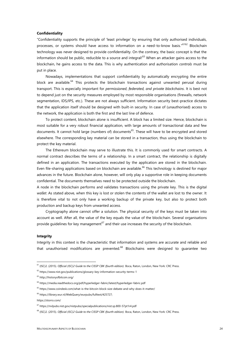# **Confidentiality**

"Confidentiality supports the principle of 'least privilege' by ensuring that only authorised individuals, processes, or systems should have access to information on a need-to-know basis."<sup>6162</sup> Blockchain technology was never designed to provide confidentiality. On the contrary, the basic concept is that the information should be public, reducible to a source and integral!<sup>63</sup> When an attacker gains access to the blockchain, he gains access to the data. This is why authentication and authorisation *controls* must be put in place.

Nowadays, implementations that support confidentiality by automatically encrypting the entire block are available.<sup>64</sup> This protects the blockchain transactions against unwanted perusal during transport. This is especially important for *permissioned*, *federated, and private blockchains*. It is best not to depend just on the security measures employed by most responsible organisations (firewalls, network segmentation, IDS/IPS, etc.). These are not always sufficient. Information security best-practice dictates that the application itself should be designed with built-in security. In case of (unauthorised) access to the network, the application is both the first and the last line of defence.

To protect content, blockchain alone is insufficient. A block has a limited size. Hence, blockchain is most suitable for a very robust financial application, with large amounts of transactional data and few documents. It cannot hold large (numbers of) documents<sup>65</sup>. These will have to be encrypted and stored elsewhere. The corresponding key material can be stored in a transaction, thus using the blockchain to protect the key material.

The Ethereum blockchain may serve to illustrate this. It is commonly used for smart contracts. A normal contract describes the terms of a relationship. In a smart contract, the relationship is digitally defined in an application. The transactions executed by the application are stored in the blockchain. Even file-sharing applications based on blockchain are available.<sup>66</sup> This technology is destined for major advances in the future. Blockchain alone, however, will only play a supportive role in keeping documents confidential. The documents themselves need to be protected outside the blockchain.

A node in the blockchain performs and validates transactions using the private key. This is the digital *wallet*. As stated above, when this key is lost or stolen the contents of the wallet are lost to the owner. It is therefore vital to not only have a working backup of the private key, but also to protect both production and backup keys from unwanted access.

Cryptography alone cannot offer a solution. The physical security of the keys must be taken into account as well. After all, the value of the key equals the value of the blockchain. Several organisations provide quidelines for key management<sup>67</sup> and their use increases the security of the blockchain.

## **Integrity**

Integrity in this context is the characteristic that information and systems are accurate and reliable and that unauthorised modifications are prevented. $^{68}$  Blockchains were designed to guarantee two

<sup>61</sup> (ISC)2. (2015). *Official (ISC)2 Guide to the CISSP CBK (fourth edition).* Boca, Raton, London, New York: CRC Press.

<sup>62</sup> https://www.nist.gov/publications/glossary-key-information-security-terms-1

<sup>63</sup> http://historyofbitcoin.org/

<sup>64</sup> https://media.readthedocs.org/pdf/hyperledger-fabric/latest/hyperledger-fabric.pdf

<sup>65</sup> https://www.coindesk.com/what-is-the-bitcoin-block-size-debate-and-why-does-it-matter/

<sup>66</sup> https://library.wur.nl/WebQuery/wurpubs/fulltext/425727;

https://storro.com/

<sup>67</sup> https://nvlpubs.nist.gov/nistpubs/specialpublications/nist.sp.800-57pt1r4.pdf

<sup>68</sup> (ISC)2. (2015). *Official (ISC)2 Guide to the CISSP CBK (fourth edition).* Boca, Raton, London, New York: CRC Press.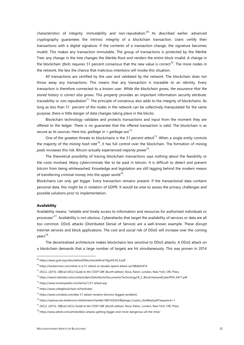characteristics of integrity: immutability and non-repudiation.<sup>69</sup> As described earlier, advanced cryptography guarantees the intrinsic integrity of a blockchain transaction. Users certify their transactions with a digital signature. If the contents of a transaction change, the signature becomes invalid. This makes any transaction immutable. The group of transactions is protected by the Merkle Tree: any change in the tree changes the Merkle Root and renders the entire block invalid. A change in the blockchain (*fork*) requires 51 percent consensus that the new value is correct<sup>70</sup>. The more nodes in the network, the less the chance that malicious intentions will invoke this situation.

All transactions are certified by the user and validated by the network. The blockchain does not throw away any transactions. This means that any transaction is traceable to an identity. Every transaction is therefore connected to a known user. *While the blockchain grows, the assurance that the stored history is correct also grows*. This property provides an important information security attribute: traceability or *non-repudiation*<sup>71</sup>. The principle of consensus also adds to the integrity of blockchains. As long as less than 51 percent of the nodes in the network can be collectively manipulated for the same purpose, there is little danger of data changes taking place in the blocks.

Blockchain technology validates and protects transactions and input from the moment they are offered to the ledger. There is no guarantee that the offered transaction is valid. The blockchain is as secure as its sources. Here too, *garbage in = garbage out.*<sup>72</sup>

One of the greatest threats to blockchains is the *51 percent attack*<sup>73</sup> *.* When a single entity controls the majority of the *mining hash rate<sup>74</sup>*, it has full control over the blockchain. The formation of *mining pools* increases this risk. Bitcoin actually experienced *majority power*<sup>75</sup> .

The theoretical possibility of tracing blockchain transactions says nothing about the feasibility or the costs involved. Many cybercriminals like to be paid in bitcoin. It is difficult to detect and prevent bitcoin from being whitewashed. Knowledge and legislation are still lagging behind the modern means of transferring criminal money into the upper world<sup>76</sup>.

Blockchains can only get bigger. Every transaction remains present. If the transactional data contains personal data, this might be in violation of GDPR. It would be wise to assess the privacy challenges and possible solutions prior to implementation.

## **Availability**

Availability means: "reliable and timely access to information and resources for authorised individuals or processes"<sup>77</sup>. Availability is not obvious. Cyberattacks that target the availability of services or data are all too common. DDoS attacks (Distributed Denial of Service) are a well-known example. These disrupt internet services and block applications. The cost and social risk of DDoS will increase over the coming years<sup>78</sup>.

The decentralised architecture makes blockchains less sensitive to DDoS attacks. A DDoS attack on a blockchain demands that a large number of targets are hit simultaneously. This was proven in 2014

<sup>69</sup> https://www.yjolt.org/sites/default/files/shackelford19yjolt334\_0.pdf

<sup>70</sup> https://hackernoon.com/what-is-a-51-attack-or-double-spend-attack-aa108db63474

<sup>71</sup> (ISC)2. (2015). *Official (ISC)2 Guide to the CISSP CBK (fourth edition).* Boca, Raton, London, New York: CRC Press.

<sup>72</sup> https://www2.deloitte.com/content/dam/Deloitte/ie/Documents/Technology/IE\_C\_BlockchainandCyberPOV\_0417.pdf

<sup>73</sup> https://www.investopedia.com/terms/1/51-attack.asp

<sup>74</sup> https://www.uitlegblockchain.nl/hashrate/

<sup>75</sup> https://www.coindesk.com/eba-51-attack-remains-bitcoins-biggest-problem/

<sup>76</sup> https://openaccess.leidenuniv.nl/bitstream/handle/1887/62424/Bijdrage\_Custers\_Strafblad.pdf?sequence=1

<sup>77</sup> (ISC)2. (2015). *Official (ISC)2 Guide to the CISSP CBK (fourth edition).* Boca, Raton, London, New York: CRC Press

<sup>78</sup> https://www.zdnet.com/article/ddos-attacks-getting-bigger-and-more-dangerous-all-the-time/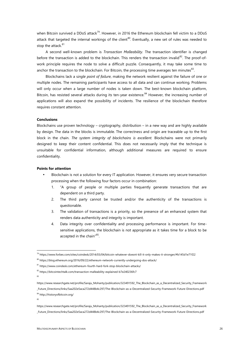when Bitcoin survived a DDoS attack<sup>79</sup>. However, in 2016 the Ethereum blockchain fell victim to a DDoS attack that targeted the internal workings of the client<sup>80</sup>. Eventually, a new set of rules was needed to stop the attack.<sup>81</sup>

A second well-known problem is *Transaction Malleability.* The transaction identifier is changed before the transaction is added to the blockchain. This renders the transaction invalid $^{82}$ . The proof-ofwork principle requires the node to solve a difficult puzzle. Consequently, it may take some time to anchor the transaction to the blockchain. For Bitcoin, the processing time averages ten minutes $^{83}$ .

Blockchains lack a s*ingle point of failure*, making the network resilient against the failure of one or multiple nodes. The remaining participants have access to all data and can continue working. Problems will only occur when a large number of nodes is taken down. The best-known blockchain platform, Bitcoin, has resisted several attacks during its ten-year existence.<sup>84</sup> However, the increasing number of applications will also expand the possibility of incidents. The resilience of the blockchain therefore requires constant attention.

# **Conclusions**

Blockchains use proven technology – cryptography, distribution – in a new way and are highly available by design. The data in the blocks is immutable. The correctness and origin are traceable up to the first block in the chain. *The system integrity of blockchains is excellent.* Blockchains were not primarily designed to keep their content confidential. This does not necessarily imply that the technique is unsuitable for confidential information, although additional measures are required to ensure confidentiality.

# **Points for attention**

- Blockchain is not a solution for every IT application. However, it ensures very secure transaction processing when the following four factors occur in combination:
	- 1. "A group of people or multiple parties frequently generate transactions that are dependent on a third party.
	- 2. The third party cannot be trusted and/or the authenticity of the transactions is questionable.
	- 3. The validation of transactions is a priority, so the presence of an enhanced system that renders data authenticity and integrity is important.
	- 4. Data integrity over confidentiality and processing performance is important. For time sensitive applications, the blockchain is not appropriate as it takes time for a block to be accepted in the chain"<sup>85</sup>.

83

<sup>79</sup> https://www.forbes.com/sites/coindesk/2014/03/04/bitcoin-whatever-doesnt-kill-it-only-makes-it-stronger/#b145d1e71f22

<sup>80</sup> https://blog.ethereum.org/2016/09/22/ethereum-network-currently-undergoing-dos-attack/

<sup>81</sup> https://www.coindesk.com/ethereum-fourth-hard-fork-stop-blockchain-attacks/

<sup>82</sup> https://bitcointechtalk.com/transaction-malleability-explained-b7e240236fc7

https://www.researchgate.net/profile/Saraju\_Mohanty/publication/323491592\_The\_Blockchain\_as\_a\_Decentralized\_Security\_Framework \_Future\_Directions/links/5aa202e5aca272d448b4c297/The-Blockchain-as-a-Decentralized-Security-Framework-Future-Directions.pdf <sup>84</sup> http://historyofbitcoin.org/

<sup>85</sup>

https://www.researchgate.net/profile/Saraju\_Mohanty/publication/323491592\_The\_Blockchain\_as\_a\_Decentralized\_Security\_Framework \_Future\_Directions/links/5aa202e5aca272d448b4c297/The-Blockchain-as-a-Decentralized-Security-Framework-Future-Directions.pdf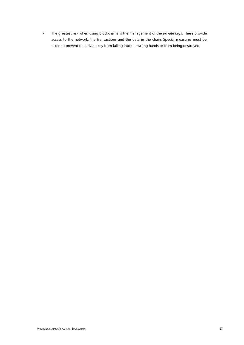The greatest risk when using blockchains is the management of the *private keys*. These provide access to the network, the transactions and the data in the chain. Special measures must be taken to prevent the private key from falling into the wrong hands or from being destroyed.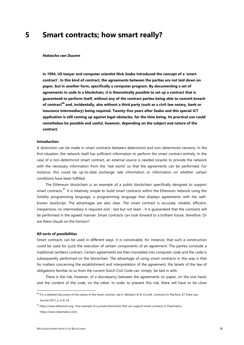# **5 Smart contracts; how smart really?**

#### *Natascha van Duuren*

**In 1994, US lawyer and computer scientist Nick Szabo introduced the concept of a 'smart contract'. In this kind of contract, the agreements between the parties are not laid down on paper, but in another form, specifically a computer program. By documenting a set of agreements in code in a blockchain, it is theoretically possible to set up a contract that is guaranteed to perform itself, without any of the contract parties being able to commit breach of contract<sup>86</sup> and, incidentally, also without a third party (such as a civil-law notary, bank or insurance intermediary) being required. Twenty-five years after Szabo and this special ICT application is still coming up against legal obstacles, for the time being. Its practical use could nonetheless be possible and useful, however, depending on the subject and nature of the contract.**

## **Introduction**

A distinction can be made in smart contracts between determinist and non-determinist versions. In the first situation, the network itself has sufficient information to perform the smart contract entirely. In the case of a non-determinist smart contract, an external source is needed (oracle) to provide the network with the necessary information from the 'real world' so that the agreements can be performed. For instance, this could be up-to-date exchange rate information or information on whether certain conditions have been fulfilled.

The Ethereum blockchain is an example of a public blockchain specifically designed to support smart contracts.<sup>87</sup> It is relatively simple to build smart contracts within the Ethereum network using the Solidity programming language, a programming language that displays agreements with the well known JavaScript. The advantages are also clear. The smart contract is accurate, reliable, efficient, inexpensive, no intermediary is required *and* - last but not least - it is guaranteed that the contracts will be performed in the agreed manner. Smart contracts can look forward to a brilliant future, therefore. Or are there clouds on the horizon?

#### **All sorts of possibilities**

Smart contracts can be used in different ways. It is conceivable, for instance, that such a construction could be used for (just) the *execution* of certain components of an agreement. The parties conclude a traditional (written) contract. Certain agreements are then translated into computer code and the code is subsequently performed on the blockchain. The advantage of using smart contracts in this way is that for matters concerning the establishment and interpretation of the agreement, the tenets of the law of obligations familiar to us from the current Dutch Civil Code can 'simply' be tied in with.

There is the risk, however, of a discrepancy between the agreements on paper, on the one hand, and the content of the code, on the other. In order to prevent this risk, there will have to be close

<sup>86</sup> For a detailed discussion of the nature of the smart contract, see K. Werbach & N. Cornell, *Contracts Ex Machina*, 67 Duke Law Journal 2017, p. 6-8, 24.

<sup>87</sup> https://www.ethereum.org/. One example of a private blockchain that can support smart contracts is Clearmatics, https://www.clearmatics.com/.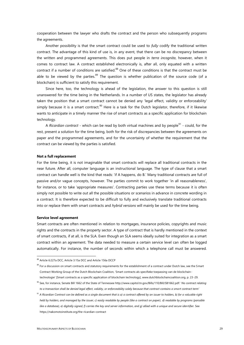cooperation between the lawyer who drafts the contract and the person who subsequently programs the agreements.

Another possibility is that the smart contract could be used to *fully* codify the traditional written contract. The advantage of this kind of use is, in any event, that there can be no discrepancy between the written and programmed agreements. This does put people in *terra incognita*, however, when it comes to contract law. A contract established electronically is, after all, only equated with a written contract if a number of conditions are satisfied.<sup>88</sup> One of these conditions is that the contract must be able to be viewed by the parties. $89$  The question is whether publication of the source code (of a blockchain) is sufficient to satisfy this requirement.

Since here, too, the technology is ahead of the legislation, the answer to this question is still unanswered for the time being in the Netherlands. In a number of US states, the legislator has already taken the position that a smart contract cannot be denied any 'legal effect, validity or enforceability' simply because it is a smart contract.<sup>90</sup> Here is a task for the Dutch legislator, therefore, if it likewise wants to anticipate in a timely manner the rise of smart contracts as a specific application for blockchain technology.

A *Ricardian contract* - which can be read by both virtual machines and by people<sup>91</sup> - could, for the rest, present a solution for the time being, both for the risk of discrepancies between the agreements on paper and the programmed agreements, and for the uncertainty of whether the requirement that the contract can be viewed by the parties is satisfied.

#### **Not a full replacement**

For the time being, it is not imaginable that smart contracts will replace all traditional contracts in the near future. After all, computer language is an instructional language. The type of clause that a smart contract can handle well is the kind that reads: 'if A happens, do B.' Many traditional contracts are full of passive and/or vague concepts, however. The parties commit to work together 'in all reasonableness', for instance, or to take 'appropriate measures'. Contracting parties use these terms because it is often simply not possible to write out all the possible situations or scenarios in advance in concrete wording in a contract. It is therefore expected to be difficult to fully and exclusively translate traditional contracts into or replace them with smart contracts and *hybrid versions* will mainly be used for the time being.

#### **Service level agreement**

Smart contracts are often mentioned in relation to mortgages, insurance policies, copyrights and music rights and the contracts in the property sector. A type of contract that is hardly mentioned in the context of smart contracts, if at all, is the SLA. Even though an SLA seems ideally suited for integration as a smart contract within an agreement. The data needed to measure a certain service level can often be logged automatically. For instance, the number of seconds within which a telephone call must be answered.

<sup>88</sup> Article 6:227a DCC, Article 3:15a DCC and Article 156a DCCP

<sup>&</sup>lt;sup>89</sup> For a discussion on smart contracts and statutory requirements for the establishment of a contract under Dutch law, see the Smart Contract Working Group of the Dutch Blockchain Coalition, 'Smart contracts als specifieke toepassing van de blockchaintechnologie' [Smart contracts as a specific application of blockchain technology], www.dutchblockchaincoalition.org, p. 23-29.

<sup>90</sup> See, for instance, Senate Bill 1662 of the State of Tennessee http://www.capitol.tn.gov/Bills/110/Bill/SB1662.pdf: '*No contract relating to a transaction shall be denied legal effect, validity, or enforceability solely because that contract contains a smart contract term'*

<sup>91</sup> *A Ricardian Contract can be defined as a single document that is a) a contract offered by an issuer to holders, b) for a valuable right held by holders, and managed by the issuer, c) easily readable by people (like a contract on paper), d) readable by programs (parsable like a database), e) digitally signed, f) carries the key and server information, and g) allied with a unique and secure identifier.* See https://nakomotoinstitute.org/the-ricardian-contract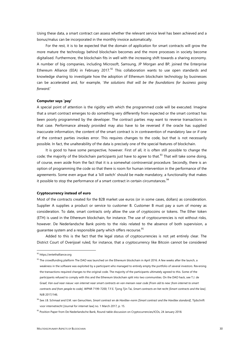Using these data, a smart contract can assess whether the relevant service level has been achieved and a bonus/malus can be incorporated in the monthly invoice automatically.

For the rest, it is to be expected that the domain of application for smart contracts will grow the more mature the technology behind blockchain becomes and the more processes in society become digitalised. Furthermore, the blockchain fits in well with the increasing shift towards a sharing economy. A number of big companies, including Microsoft, Samsung, JP Morgan and BP, joined the Enterprise Ethereum Alliance (EEA) in February 2017. $92$  This collaboration wants to use open standards and knowledge sharing to investigate how the adoption of Ethereum blockchain technology by businesses can be accelerated and, for example, '*the solutions that will be the foundations for business going forward*.'

#### **Computer says 'pay'**

A special point of attention is the rigidity with which the programmed code will be executed. Imagine that a smart contract emerges to do something very differently from expected or the smart contract has been poorly programmed by the developer. The contract parties may want to reverse transactions in that case. Performance already provided may also have to be reversed if the oracle has supplied inaccurate information, the content of the smart contract is in contravention of mandatory law or if one of the contract parties invokes error. This requires changes to the code, but that is not necessarily possible. In fact, the unalterability of the data is precisely one of the special features of blockchain.

It is good to have some perspective, however. First of all, it is often still possible to change the code; the majority of the blockchain participants just have to agree to that.<sup>93</sup> That will take some doing, of course, even aside from the fact that it is a somewhat controversial procedure. Secondly, there is an option of programming the code so that there is room for human intervention in the performance of the agreements. Some even argue that a 'kill switch' should be made mandatory, a functionality that makes it possible to stop the performance of a smart contract in certain circumstances.<sup>94</sup>

## **Cryptocurrency instead of euro**

Most of the contracts created for the B2B market use euros (or in some cases, dollars) as consideration. Supplier A supplies a product or service to customer B. Customer B must pay a sum of money as consideration. To date, smart contracts only allow the use of cryptocoins or tokens. The Ether token (ETH) is used in the Ethereum blockchain, for instance. The use of cryptocurrencies is not without risks, however. De Nederlandsche Bank points to the risks related to the absence of both supervision, a guarantee system and a responsible party which offers recourse.<sup>95</sup>

Added to this is the fact that the legal status of cryptocurrencies is not yet entirely clear. The District Court of Overijssel ruled, for instance, that a cryptocurrency like Bitcoin cannot be considered

<sup>92</sup> https://entethalliance.org

 $93$  The crowdfunding platform The DAO was launched on the Ethereum blockchain in April 2016. A few weeks after the launch, a weakness in the software was exploited by a participant who managed to entirely empty the portfolio of several investors. Reversing the transactions required changes to the original code. The majority of the participants ultimately agreed to this. Some of the participants refused to comply with this and the Ethereum blockchain split into two communities. On the DAO hack, see T.J. de Graaf, *Van oud naar nieuw: van internet naar smart contracts en van mensen naar code [From old to new: from internet to smart contracts and from people to code]*, WPNR 7199-7200; T.F.E. Tjong Tjin Tai, *Smart contracts en het recht [Smart contracts and the law]*, NJB 2017/146.

<sup>94</sup> See J.B. Schmaal and E.M. van Genuchten, *Smart contract en de Haviltex-norm [Smart contract and the Haviltex standard]*, Tijdschrift voor internetrecht [Journal for internet law] no. 1 March 2017, p. 15.

<sup>&</sup>lt;sup>95</sup> Position Paper from De Nederlandsche Bank, Round-table discussion on Cryptocurrencies/ICOs, 24 January 2018.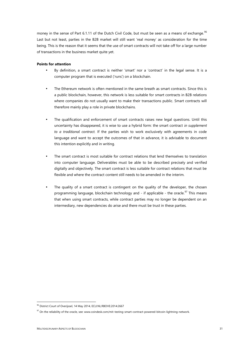money in the sense of Part 6.1.11 of the Dutch Civil Code, but must be seen as a means of exchange.<sup>96</sup> Last but not least, parties in the B2B market will still want 'real money' as consideration for the time being. This is the reason that it seems that the use of smart contracts will not take off for a large number of transactions in the business market quite yet.

# **Points for attention**

- By definition, a smart contract is neither 'smart' nor a 'contract' in the legal sense. It is a computer program that is executed ('runs') on a blockchain.
- The Ethereum network is often mentioned in the same breath as smart contracts. Since this is a public blockchain, however, this network is less suitable for smart contracts in B2B relations where companies do not usually want to make their transactions public. Smart contracts will therefore mainly play a role in private blockchains.
- The qualification and enforcement of smart contracts raises new legal questions. Until this uncertainty has disappeared, it is wise to use a hybrid form: the smart contract *in supplement to a traditional contract.* If the parties wish to work exclusively with agreements in code language and want to accept the outcomes of that in advance, it is advisable to document this intention explicitly and in writing.
- The smart contract is most suitable for contract relations that lend themselves to translation into computer language. Deliverables must be able to be described precisely and verified digitally and objectively. The smart contract is less suitable for contract relations that must be flexible and where the contract content still needs to be amended in the interim.
- The quality of a smart contract is contingent on the quality of the developer, the chosen programming language, blockchain technology and - if applicable - the oracle.<sup>97</sup> This means that when using smart contracts, while contract parties may no longer be dependent on an intermediary, new dependencies do arise and there must be trust in these parties.

<sup>96</sup> District Court of Overijssel, 14 May 2014, ECLI:NL:RBOVE:2014:2667

<sup>&</sup>lt;sup>97</sup> On the reliability of the oracle, see: www.coindesk.com/mit-testing-smart-contract-powered-bitcoin-lightning-network.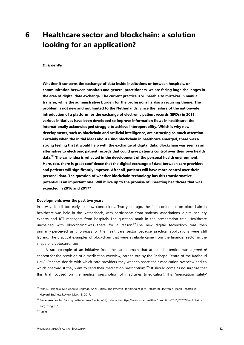# **6 Healthcare sector and blockchain: a solution looking for an application?**

## *Dirk de Wit*

**Whether it concerns the exchange of data inside institutions or between hospitals, or communication between hospitals and general practitioners, we are facing huge challenges in the area of digital data exchange. The current practice is vulnerable to mistakes in manual transfer, while the administrative burden for the professional is also a recurring theme. The problem is not new and not limited to the Netherlands. Since the failure of the nationwide introduction of a platform for the exchange of electronic patient records (EPDs) in 2011, various initiatives have been developed to improve information flows in healthcare: the internationally acknowledged struggle to achieve interoperability. Which is why new developments, such as blockchain and artificial intelligence, are attracting so much attention. Certainly when the initial ideas about using blockchain in healthcare emerged, there was a strong feeling that it would help with the exchange of digital data. Blockchain was seen as an alternative to electronic patient records that could give patients control over their own health data.<sup>98</sup> The same idea is reflected in the development of the personal health environment. Here, too, there is great confidence that the digital exchange of data between care providers and patients will significantly improve. After all, patients will have more control over their personal data. The question of whether blockchain technology has this transformative potential is an important one. Will it live up to the promise of liberating healthcare that was expected in 2016 and 2017?**

## **Developments over the past two years**

In a way, it still too early to draw conclusions. Two years ago, the first conference on blockchain in healthcare was held in the Netherlands, with participants from patients' associations, digital security experts and ICT managers from hospitals. The question mark in the presentation title 'Healthcare unchained with blockchain?' was there for a reason. $99$  The new digital technology was then primarily perceived as *a promise* for the healthcare sector because practical applications were still lacking. The practical examples of blockchain that were available came from the financial sector in the shape of cryptocurrencies.

A rare example of an initiative from the care domain that attracted attention was a *proof of concept* for the provision of a medication overview, carried out by the Reshape Centre of the Radboud UMC. 'Patients decide with which care providers they want to share their medication overview and to which pharmacist they want to send their medication prescription'.<sup>100</sup> It should come as no surprise that this trial focused on the medical prescription of medicines (medication). This 'medication safety'

<sup>98</sup> John D. Halamka, MD, Andrew Lippman, Ariel Ekblaw, The Potential for Blockchain to Transform Electronic Health Records, in Harvard Business Review, March 3, 2017.

<sup>99</sup> Frederieke Jacobs, *De zorg ontketent met blockchain?*, included in https://www.smarthealth.nl/trendition/2016/07/07/blockchain zorg-congres/

 $100$  Idem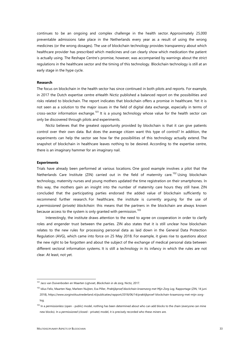continues to be an ongoing and complex challenge in the health sector. Approximately 25,000 preventable admissions take place in the Netherlands every year as a result of using the wrong medicines (or the wrong dosages). The use of blockchain technology provides transparency about which healthcare provider has prescribed which medicines and can clearly show which medication the patient is actually using. The Reshape Centre's promise, however, was accompanied by warnings about the strict regulations in the healthcare sector and the timing of this technology. Blockchain technology is still at an early stage in the hype cycle.

#### **Research**

The focus on blockchain in the health sector has since continued in both pilots and reports. For example, in 2017 the Dutch expertise centre eHealth Nictiz published a balanced report on the possibilities and risks related to blockchain. The report indicates that blockchain offers a promise in healthcare. Yet it is not seen as a solution to the major issues in the field of digital data exchange, especially in terms of cross-sector information exchange.<sup>101</sup> It is a young technology whose value for the health sector can only be discovered through pilots and experiments.

Nictiz believes that the greatest opportunity provided by blockchain is that it can give patients control over their own data. But does the average citizen want this type of control? In addition, the experiments can help the sector see how far the possibilities of this technology actually extend. The snapshot of blockchain in healthcare leaves nothing to be desired. According to the expertise centre, there is an imaginary hammer for an imaginary nail.

#### **Experiments**

Trials have already been performed at various locations. One good example involves a pilot that the Netherlands Care Institute (ZIN) carried out in the field of maternity care.<sup>102</sup> Using blockchain technology, maternity nurses and young mothers updated the time registration on their smartphones. In this way, the mothers gain an insight into the number of maternity care hours they still have. ZIN concluded that the participating parties endorsed the added value of blockchain sufficiently to recommend further research. For healthcare, the institute is currently arguing for the use of a *permissioned (private) blockchain*: this means that the partners in the blockchain are always known because access to the system is only granted with permission.<sup>103</sup>

Interestingly, the institute draws attention to the need to agree on cooperation in order to clarify roles and engender trust between the parties. ZIN also states that it is still unclear how blockchain relates to the new rules for processing personal data as laid down in the General Data Protection Regulation (AVG), which came into force on 25 May 2018. For example, it gives rise to questions about the new right to be forgotten and about the subject of the exchange of medical personal data between different sectoral information systems. It is still a technology in its infancy in which the rules are not clear. At least, not yet.

<sup>101</sup> Jaco van Duivenboden en Maarten Ligtvoet, *Blockchain in de zorg*, Nictiz, 2017.

<sup>102</sup> Idius Felix, Maarten Nap, Marleen Nuijten, Eva Piller, *Praktijkproef blockchain kraamzorg met Mijn Zorg Log*, Rapportage (ZIN, 14 juni 2018), https://www.zorginstituutnederland.nl/publicaties/rapport/2018/06/14/praktijkproef-blockchain-kraamzorg-met-mijn-zorglog.

<sup>103</sup> In a *permissionless* (open - public) model, nothing has been determined about who can add blocks to the chain (everyone can mine new blocks). In a *permissioned* (closed - private) model, it is precisely recorded who these *miners* are.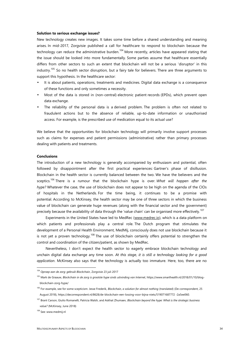## **Solution to serious exchange issues?**

New technology creates new images. It takes some time before a shared understanding and meaning arises. In mid-2017, Zorgvisie published a call for healthcare to respond to blockchain because the technology can reduce the administrative burden.<sup>104</sup> More recently, articles have appeared stating that the issue should be looked into more fundamentally. Some parties assume that healthcare essentially differs from other sectors to such an extent that blockchain will not be a serious 'disruptor' in this industry.<sup>105</sup> So no health sector disruption, but a fairy tale for believers. There are three arguments to support this hypothesis. In the healthcare sector:

- It is about patients, operations, treatments and medicines. Digital data exchange is a consequence of these functions and only sometimes a necessity.
- Most of the data is stored in (non-central) electronic patient records (EPDs), which prevent open data exchange.
- The reliability of the personal data is a derived problem. The problem is often not related to fraudulent actions but to the absence of reliable, up-to-date information or unauthorised access. For example, is the prescribed use of medication equal to its actual use?

We believe that the opportunities for blockchain technology will primarily involve support processes such as claims for expenses and patient permissions (administrative) rather than primary processes dealing with patients and treatments.

#### **Conclusions**

The introduction of a new technology is generally accompanied by enthusiasm and potential, often followed by disappointment after the first practical experiences: Gartner's phase of disillusion. Blockchain in the health sector is currently balanced between the two. We have the believers and the sceptics.<sup>106</sup> There is a rumour that the blockchain hype is over. *What will happen after the hype?* Whatever the case, the use of blockchain does not appear to be high on the agenda of the CIOs of hospitals in the Netherlands. For the time being, it continues to be a promise with potential. According to McKinsey, the health sector may be one of three sectors in which the business value of blockchain can generate huge revenues (along with the financial sector and the government) precisely because the availability of data through the 'value chain' can be organised more effectively.<sup>107</sup>

Experiments in the United States have led to MedRec (www.medrec.io), which is a data platform on which patients and professionals play a central role. The Dutch program that stimulates the development of a Personal Health Environment, MedMij, consciously does not use blockchain because it is not yet a proven technology.<sup>108</sup> The use of blockchain certainly offers potential to strengthen the control and coordination of the citizen/patient, as shown by MedRec.

Nevertheless, I don't expect the health sector to eagerly embrace blockchain technology and unchain digital data exchange any time soon. *At this stage, it is still a technology looking for a good application*. McKinsey also says that the technology is actually too immature. Here, too, there are no

<sup>104</sup> *Oproep aan de zorg: gebruik Blockchain*, Zorgvisie 23 juli 2017

<sup>105</sup> Mark de Graauw, *Blockchain in de zorg is grootste hype sinds uitvinding van Internet*, https://www.smarthealth.nl/2018/01/10/blog blockchain-zorg-hype/

<sup>106</sup> For example, see for some scepticism: Jesse Frederik, *Blockchain, a solution for almost nothing* (translated) (De correspondent, 25 August 2018), https://decorrespondent.nl/8628/de-blockchain-een-lossing-voor-bijna-niets/519071687772 -2a5ee060.

<sup>107</sup> Brant Carson, Giulio Romanelli, Patricia Walsh, and Askhat Zhumaev, *Blockchain beyond the hype: What is the strategic business value?* (McKinsey, June 2018)

<sup>108</sup> See: www.medmij.nl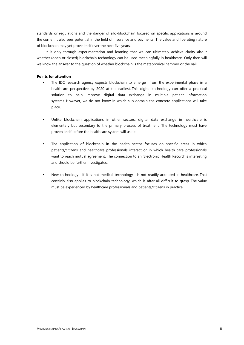standards or regulations and the danger of silo-blockchain focused on specific applications is around the corner. It also sees potential in the field of insurance and payments. The value and liberating nature of blockchain may yet prove itself over the next five years.

It is only through experimentation and learning that we can ultimately achieve clarity about whether (open or closed) blockchain technology can be used meaningfully in healthcare. Only then will we know the answer to the question of whether blockchain is the metaphorical hammer or the nail.

# **Points for attention**

- The IDC research agency expects blockchain to emerge from the experimental phase in a healthcare perspective by 2020 at the earliest. This digital technology can offer a practical solution to help improve digital data exchange in multiple patient information systems. However, we do not know in which sub-domain the concrete applications will take place.
- Unlike blockchain applications in other sectors, digital data exchange in healthcare is elementary but secondary to the primary process of treatment. The technology must have proven itself before the healthcare system will use it.
- The application of blockchain in the health sector focuses on specific areas in which patients/citizens and healthcare professionals interact or in which health care professionals want to reach mutual agreement. The connection to an 'Electronic Health Record' is interesting and should be further investigated.
- New technology if it is not medical technology is not readily accepted in healthcare. That certainly also applies to blockchain technology, which is after all difficult to grasp. The value must be experienced by healthcare professionals and patients/citizens in practice.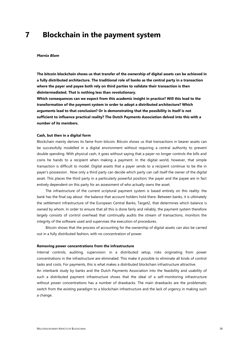# **7 Blockchain in the payment system**

#### *Marnix Blom*

**The bitcoin blockchain shows us that transfer of the ownership of digital assets can be achieved in a fully distributed architecture. The traditional role of banks as the central party in a transaction where the payer and payee both rely on third parties to validate their transaction is then disintermediated. That is nothing less than revolutionary.**

**Which consequences can we expect from this academic insight in practice? Will this lead to the transformation of the payment system in order to adopt a distributed architecture? Which arguments lead to that conclusion? Or is demonstrating that the possibility in itself is not sufficient to influence practical reality? The Dutch Payments Association delved into this with a number of its members.**

#### **Cash, but then in a digital form**

Blockchain mainly derives its fame from bitcoin. Bitcoin shows us that transactions in bearer assets can be successfully modelled in a digital environment without requiring a central authority to prevent double spending. With physical cash, it goes without saying that a payer no longer controls the bills and coins he hands to a recipient when making a payment. In the digital world, however, that simple transaction is difficult to model. Digital assets that a payer sends to a recipient continue to be the in payer's possession . Now only a third party can decide which party can call itself the owner of the digital asset. This places the third party in a particularly powerful position; the payer and the payee are in fact entirely dependent on this party for an assessment of who actually owns the asset.

The infrastructure of the current scriptural payment system is based entirely on this reality: the bank has the final say about the balance that account holders hold there. Between banks, it is ultimately the settlement infrastructure of the European Central Banks, Target2, that determines which balance is owned by whom. In order to ensure that all this is done fairly and reliably, the payment system therefore largely consists of control overhead that continually audits the stream of transactions, monitors the integrity of the software used and supervises the execution of procedures.

Bitcoin shows that the process of accounting for the ownership of digital assets can also be carried out in a fully distributed fashion, with no concentration of power.

#### **Removing power concentrations from the infrastructure**

Internal controls, auditing, supervision: in a distributed setup, risks originating from power concentrations in the infrastructure are eliminated. This make it possible to eliminate all kinds of control tasks and costs. For payments, this is what makes a distributed blockchain infrastructure attractive.

An interbank study by banks and the Dutch Payments Association into the feasibility and usability of such a distributed payment infrastructure shows that the ideal of a self-monitoring infrastructure without power concentrations has a number of drawbacks. The main drawbacks are the problematic switch from the existing paradigm to a blockchain infrastructure and the lack of urgency in making such a change.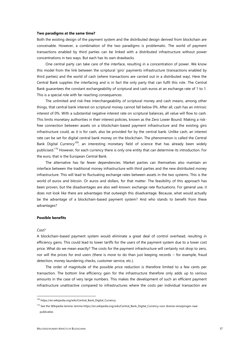#### **Two paradigms at the same time?**

Both the existing design of the payment system and the distributed design derived from blockchain are conceivable. However, a combination of the two paradigms is problematic. The world of payment transactions enabled by third parties can be linked with a distributed infrastructure without power concentrations in two ways. But each has its own drawbacks.

One central party can take care of the interface, resulting in a concentration of power. We know this model from the link between the scriptural 'giro' payments infrastructure (transactions enabled by third parties) and the world of cash (where transactions are carried out in a distributed way). Here the Central Bank supplies the interfacing and is in fact the only party that can fulfil this role. The Central Bank guarantees the constant exchangeability of scriptural and cash euros at an exchange rate of 1 to 1. This is a special role with far-reaching consequences.

The unlimited and risk-free interchangeability of scriptural money and cash means, among other things, that central bank interest on scriptural money cannot fall below 0%. After all, cash has an intrinsic interest of 0%. With a substantial negative interest rate on scriptural balances, all value will flow to cash. This limits monetary authorities in their interest policies, known as the Zero Lower Bound. Making a riskfree connection between assets on a blockchain-based payment infrastructure and the existing giro infrastructure could, as it is for cash, also be provided for by the central bank. Unlike cash, an interest rate can be set for digital central bank money on the blockchain. The phenomenon is called the Central Bank Digital Currency<sup>109</sup>, an interesting monetary field of science that has already been widely publicised.<sup>110</sup> However, for each currency there is only one entity that can determine its introduction. For the euro, that is the European Central Bank.

The alternative has far fewer dependencies. Market parties can themselves also maintain an interface between the traditional money infrastructure with third parties and the new distributed money infrastructure. This will lead to fluctuating exchange rates between assets in the two systems. This is the world of euros and bitcoin. Or euros and dollars, for that matter. The feasibility of this approach has been proven, but the disadvantages are also well-known: exchange rate fluctuations. For general use, it does not look like there are advantages that outweigh this disadvantage. Because, what would actually be the advantage of a blockchain-based payment system? And who stands to benefit from these advantages?

# **Possible benefits**

#### *Cost?*

A blockchain-based payment system would eliminate a great deal of control overhead, resulting in efficiency gains. This could lead to lower tariffs for the users of the payment system due to a lower cost price. What do we mean exactly? The costs for the payment infrastructure will certainly not drop to zero, nor will the prices for end users (there is more to do than just keeping records – for example, fraud detection, money laundering checks, customer service, etc.).

The order of magnitude of the possible price reduction is therefore limited to a few cents per transaction. The bottom line efficiency gain for the infrastructure therefore only adds up to serious amounts in the case of very large numbers. This makes the development of such an efficient payment infrastructure unattractive compared to infrastructures where the costs per individual transaction are

<sup>109</sup> https://en.wikipedia.org/wiki/Central Bank Digital Currency

<sup>110</sup> See the Wikipedia lemma: lemma https://en.wikipedia.org/wiki/Central\_Bank\_Digital\_Currency voor diverse verwijzingen naar publicaties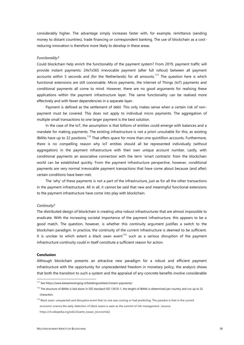considerably higher. The advantage simply increases faster with, for example, remittance (sending money to distant countries), trade financing or correspondent banking. The use of blockchain as a costreducing innovation is therefore more likely to develop in these areas.

#### *Functionality?*

Could blockchain help enrich the functionality of the payment system? From 2019, payment traffic will provide instant payments: 24x7x365 irrevocable payment (after full rollout) between all payment accounts within 5 seconds and (for the Netherlands) for all amounts.<sup>111</sup> The question here is which functional extensions are still conceivable. Micro payments, the Internet of Things (IoT) payments and conditional payments all come to mind. However, there are no good arguments for realising these applications within the payment infrastructure layer. The same functionality can be realised more effectively and with fewer dependencies in a separate layer.

Payment is defined as the settlement of debt. This only makes sense when a certain risk of non payment must be covered. This does not apply to individual micro payments. The aggregation of multiple small transactions to one larger payment is the best solution.

In the case of the IoT, the assumption is that billions of entities could emerge with balances and a mandate for making payments. The existing infrastructure is not a priori unsuitable for this, as existing IBANs have up to 32 positions.<sup>112</sup> That offers space for more than one quintillion accounts. Furthermore, there is no compelling reason why IoT entities should all be represented individually (without aggregation) in the payment infrastructure with their own unique account number. Lastly, with conditional payments an associative connection with the term 'smart contracts' from the blockchain world can be established quickly. From the payment infrastructure perspective, however, conditional payments are very normal irrevocable payment transactions that have come about because (and after) certain conditions have been met.

The 'why' of these payments is not a part of the infrastructure, just as for all the other transactions in the payment infrastructure. All in all, it cannot be said that new and meaningful functional extensions to the payment infrastructure have come into play with blockchain.

#### *Continuity?*

The distributed design of blockchain is creating ultra-robust infrastructures that are almost impossible to eradicate. With the increasing societal importance of the payment infrastructure, this appears to be a good match. The question, however, is whether this continuity argument justifies a switch to the blockchain paradigm. In practice, the continuity of the current infrastructure is deemed to be sufficient. It is unclear to which extent a black swan event<sup>113</sup> such as a serious disruption of the payment infrastructure continuity could in itself constitute a sufficient reason for action.

#### **Conclusion**

Although blockchain presents an attractive new paradigm for a robust and efficient payment infrastructure with the opportunity for unprecedented freedom in monetary policy, the analysis shows that both the transition to such a system and the appraisal of any concrete benefits involve considerable

<sup>111</sup> See https://www.betaalvereniging.nl/betalingsverkeer/instant-payments/

<sup>&</sup>lt;sup>112</sup> The structure of IBANs is laid down in ISO standard ISO 13616-1, the lenght of IBANs is determined per country and run up to 32 characters.

<sup>&</sup>lt;sup>113</sup> Black swan: unexpected and disruptive event that no one saw coming or had predicting. The paradox is that in the current economic science the early detection of black swans is seen as the summit of risk management. (source: https://nl.wikipedia.org/wiki/Zwarte\_zwaan\_(economie))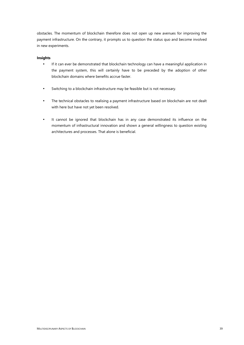obstacles. The momentum of blockchain therefore does not open up new avenues for improving the payment infrastructure. On the contrary, it prompts us to question the status quo and become involved in new experiments.

# **Insights**

- If it can ever be demonstrated that blockchain technology can have a meaningful application in the payment system, this will certainly have to be preceded by the adoption of other blockchain domains where benefits accrue faster.
- Switching to a blockchain infrastructure may be feasible but is not necessary.
- The technical obstacles to realising a payment infrastructure based on blockchain are not dealt with here but have not yet been resolved.
- It cannot be ignored that blockchain has in any case demonstrated its influence on the momentum of infrastructural innovation and shown a general willingness to question existing architectures and processes. That alone is beneficial.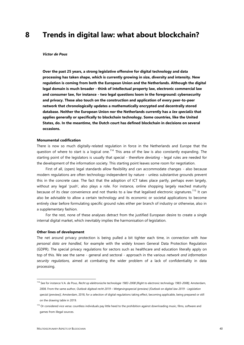# **8 Trends in digital law: what about blockchain?**

#### *Victor de Pous*

**Over the past 25 years, a strong legislative offensive for digital technology and data processing has taken shape, which is currently growing in size, diversity and intensity. New regulation is coming from both the European Union and the Netherlands. Although the digital legal domain is much broader - think of intellectual property law, electronic commercial law and consumer law, for instance - two legal questions loom in the foreground: cybersecurity and privacy. These also touch on the construction and application of every peer-to-peer network that chronologically updates a mathematically encrypted and decentrally stored database. Neither the European Union nor the Netherlands currently has a** *lex specialis* **that applies generally or specifically to blockchain technology. Some countries, like the United States, do. In the meantime, the Dutch court has defined blockchain in decisions on several occasions.**

#### **Monumental codification**

There is now so much digitally-related regulation in force in the Netherlands and Europe that the question of where to start is a logical one.<sup>114</sup> This area of the law is also constantly expanding. The starting point of the legislators is usually that special - therefore *deviating -* legal rules are needed for the development of the information society. This starting point leaves some room for negotiation.

First of all, (open) legal standards allow flexibility and can accommodate changes - also because modern regulations are often technology-independent by nature - unless substantive grounds prevent this in the concrete case. The fact that the adoption of ICT takes place partly, perhaps even largely, without any legal 'push', also plays a role. For instance, online shopping largely reached maturity because of its clear convenience and not thanks to a law that legalised electronic signatures.<sup>115</sup> It can also be advisable to allow a certain technology and its economic or societal applications to become entirely clear before formulating specific ground rules either per branch of industry or otherwise, also in a supplementary fashion.

For the rest, none of these analyses detract from the justified European desire to create a single internal digital market, which inevitably implies the harmonisation of legislation.

#### **Other lines of development**

The net around privacy protection is being pulled a bit tighter each time, in connection with *how personal data are handled*, for example with the widely known General Data Protection Regulation (GDPR). The special privacy regulations for sectors such as healthcare and education literally apply on top of this. We see the same - general and sectoral - approach in the various *network and information security regulations,* aimed at combating the wider problem of a lack of confidentiality in data processing.

<sup>114</sup> See for instance V.A. de Pous, *Recht op elektronische technologie 1983-2008 [Right to electronic technology 1983-2008]*, Amsterdam, 2008. From the same author, *Outlook digitaal recht 2019 – Wetgevingsspecial (preview) [Outlook on digital law 2019 - Legislation special (preview)]*, Amsterdam, 2018, for a selection of digital regulations taking effect, becoming applicable, being prepared or still on the drawing table in 2019.

<sup>&</sup>lt;sup>115</sup> Or considered vice versa: countless individuals pay little heed to the prohibition against downloading music, films, software and games from illegal sources.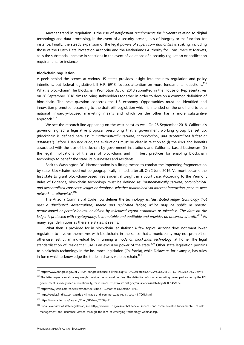Another trend in regulation is the rise of *notification requirements for incidents* relating to digital technology and data processing**,** in the event of a security breach, loss of integrity or malfunction, for instance. Finally, the steady expansion of the legal *powers of supervisory authorities* is striking, including those of the Dutch Data Protection Authority and the Netherlands Authority for Consumers & Markets, as is the substantial increase in sanctions in the event of violations of a security regulation or notification requirement, for instance.

#### **Blockchain regulation**

A peek behind the scenes at various US states provides insight into the new regulation and policy intentions, but federal legislative bill H.R. 6913 focuses attention on more fundamental questions.<sup>116</sup> What is blockchain? The Blockchain Promotion Act of 2018 submitted in the House of Representatives on 26 September 2018 aims to bring stakeholders together in order to develop a common definition of blockchain. The next question concerns the US economy. Opportunities must be identified and innovation promoted, according to the draft bill. Legislation which is intended on the one hand to be a national, inwardly-focused marketing means and which on the other has a more substantive approach.<sup>117</sup>

We see the research line appearing on the west coast as well. On 28 September 2018, California's governor signed a legislative proposal prescribing that a government working group be set up. (Blockchain is defined here as: '*a mathematically secured, chronological, and decentralized ledger or database*.') Before 1 January 2022, the evaluations must be clear in relation to (i) the risks and benefits associated with the use of blockchain by government institutions and California-based businesses, (ii) the legal implications of the use of blockchain, and (iii) best practices for enabling blockchain technology to benefit the state, its businesses and residents.

Back to Washington DC. Harmonisation is a fitting means to combat the impending fragmentation by state. Blockchains need not be geographically limited, after all. On 2 June 2016, Vermont became the first state to grant blockchain-based files evidential weight in a court case. According to the Vermont Rules of Evidence, blockchain technology must be defined as: '*mathematically secured, chronological, and decentralized consensus ledger or database, whether maintained via Internet interaction, peer-to-peer network, or otherwise*'.<sup>118</sup>

The Arizona Commercial Code now defines the technology as: '*distributed ledger technology that uses a distributed, decentralized, shared and replicated ledger, which may be public or private, permissioned or permissionless, or driven by tokenized crypto economics or tokenless. The data on the ledger is protected with cryptography, is immutable and auditable and provides an uncensored truth*.'<sup>119</sup> As many legal definitions as there are states, it seems.

What then is provided for in blockchain legislation? A few topics. Arizona does not want lower regulators to involve themselves with blockchain, in the sense that a municipality may not prohibit or otherwise restrict an individual from running a '*node on blockchain technology*' at home. The legal standardisation of 'residential' use is an exclusive power of the state.<sup>120</sup> Other state legislation pertains to blockchain technology in the insurance legislation (California), while Delaware, for example, has rules in force which acknowledge the trade in shares via blockchain.<sup>121</sup>

<sup>116</sup> https://www.congress.gov/bill/115th-congress/house-bill/6913?q=%7B%22search%22%3A%5B%22H.R.+6913%22%5D%7D&r=1

<sup>&</sup>lt;sup>117</sup> The latter aspect can also carry weight outside the national borders. The definition of cloud computing developed earlier by the US government is widely used internationally, for instance. https://csrc.nist.gov/publications/detail/sp/800-145/final

<sup>118</sup> https://law.justia.com/codes/vermont/2016/title-12/chapter-81/section-1913

<sup>119</sup> https://codes.findlaw.com/az/title-44-trade-and-commerce/az-rev-st-sect-44-7061.html

<sup>120</sup> https://www.azleg.gov/legtext/53leg/2R/laws/0208.pdf

<sup>&</sup>lt;sup>121</sup> For an overview of state legislation, see: http://www.ncsl.org/research/financial-services-and-commerce/the-fundamentals-of-riskmanagement-and-insurance-viewed-through-the-lens-of-emerging-technology-webinar.aspx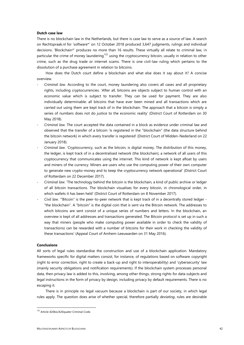### **Dutch case law**

There is no blockchain law in the Netherlands, but there is case law to serve as a source of law. A search on Rechtspraak.nl for 'software\*' on 12 October 2018 produced 3,647 judgments, rulings and individual decisions. 'Blockchain\*' produces no more than 16 results. These virtually all relate to criminal law, in particular the crime of money laundering<sup>122</sup> using the cryptocurrency bitcoin, usually in relation to other crime, such as the drug trade or internet scams. There is one civil-law ruling which pertains to the dissolution of a purchase agreement in relation to bitcoins.

How does the Dutch court define a blockchain and what else does it say about it? A concise overview.

- *Criminal law.* According to the court, money laundering also covers all cases and all proprietary rights, including cryptocurrencies. 'After all, bitcoins are objects subject to human control with an economic value which is subject to transfer. They can be used for payment. They are also individually determinable: all bitcoins that have ever been mined and all transactions which are carried out using them are kept track of in the blockchain. The approach that a bitcoin is simply a series of numbers does not do justice to the economic reality' (District Court of Rotterdam on 30 May 2018).
- *Criminal law.* The court accepted the data contained in a block as evidence under criminal law and observed that the transfer of a bitcoin 'is registered in the "blockchain" (the data structure behind the bitcoin network) in which every transfer is registered' (District Court of Midden-Nederland on 22 January 2018).
- *Criminal law.* 'Cryptocurrency, such as the bitcoin, is digital money. The distribution of this money, the ledger, is kept track of in a decentralised network (the blockchain), a network of all users of this cryptocurrency that communicates using the internet. This kind of network is kept afloat by users and miners of the currency. Miners are users who use the computing power of their own computer to generate new crypto-money and to keep the cryptocurrency network operational' (District Court of Rotterdam on 22 December 2017).
- *Criminal law.* 'The technology behind the bitcoin is the blockchain, a kind of public archive or ledger of all bitcoin transactions. The blockchain visualises for every bitcoin, in chronological order, in which wallets it has been held' (District Court of Rotterdam on 8 November 2017).
- *Civil law.* '"Bitcoin" is the peer-to-peer network that is kept track of in a decentrally stored ledger "the blockchain". A "bitcoin" is the digital coin that is sent via the Bitcoin network. The addresses to which bitcoins are sent consist of a unique series of numbers and letters. In the blockchain, an overview is kept of all addresses and transactions generated. The Bitcoin protocol is set up in such a way that miners (people who make computing power available in order to check the validity of transactions) can be rewarded with a number of bitcoins for their work in checking the validity of these transactions' (Appeal Court of Arnhem-Leeuwarden on 31 May 2016).

# **Conclusions**

All sorts of legal rules standardise the construction and use of a blockchain application. Mandatory frameworks specific for digital matters consist, for instance, of regulations based on software copyright (right to error correction, right to create a back-up and right to interoperability) and 'cybersecurity' law (mainly security obligations and notification requirements). If the blockchain system processes personal data, then privacy law is added to this, involving, among other things, strong rights for data subjects and legal instructions in the form of privacy by design, including privacy by default requirements. There is no escaping it.

There is in principle no legal vacuum because a blockchain is part of our society, in which legal rules apply. The question does arise of whether special, therefore partially *deviating*, rules are desirable

<sup>&</sup>lt;sup>122</sup> Article 420bis/420quater Criminal Code.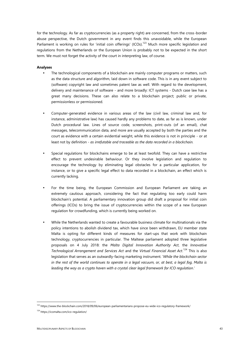for the technology. As far as cryptocurrencies (as a property right) are concerned, from the cross-border abuse perspective, the Dutch government in any event finds this unavoidable, while the European Parliament is working on rules for 'initial coin offerings' (ICOs).<sup>123</sup> Much more specific legislation and regulations from the Netherlands or the European Union is probably not to be expected in the short term. We must not forget the activity of the court in interpreting law, of course.

# **Analyses**

- The technological components of a blockchain are mainly computer programs or matters, such as the data structure and algorithm, laid down in software code. This is in any event subject to (software) copyright law and sometimes patent law as well. With regard to the development, delivery and maintenance of software - and more broadly: ICT systems - Dutch case law has a great many decisions. These can also relate to a blockchain project; public or private, permissionless or permissioned.
- Computer-generated evidence in various areas of the law (civil law, criminal law and, for instance, administrative law) has caused hardly any problems to date, as far as is known, under Dutch procedural law. Lines of source code, screenshots, print-outs (of an email), chat messages, telecommunication data, and more are usually accepted by both the parties and the court as evidence with a certain evidential weight, while this evidence is not in principle - or at least not by definition - *as irrefutable and traceable as the data recorded in a blockchain.*
- Special regulations for blockchains emerge to be at least twofold. They can have a restrictive effect to prevent undesirable behaviour. Or they involve legislation and regulation to encourage the technology by eliminating legal obstacles for a particular application, for instance, or to give a specific legal effect to data recorded in a blockchain, an effect which is currently lacking.
- For the time being, the European Commission and European Parliament are taking an extremely cautious approach, considering the fact that regulating too early could harm blockchain's potential. A parliamentary innovation group did draft a proposal for initial coin offerings (ICOs) to bring the issue of cryptocurrencies within the scope of a new European regulation for crowdfunding, which is currently being worked on.
- While the Netherlands wanted to create a favourable business climate for multinationals via the policy intentions to abolish dividend tax, which have since been withdrawn, EU member state Malta is opting for different kinds of measures for start-ups that work with blockchain technology, cryptocurrencies in particular. The Maltese parliament adopted three legislative proposals on 4 July 2018: the *Malta Digital Innovation Authority Act*, the *Innovative Technological Arrangement and Services Act* and the *Virtual Financial Asset Act*.<sup>124</sup> This is also legislation that serves as an outwardly-facing marketing instrument. '*While the blockchain sector in the rest of the world continues to operate in a legal vacuum, or, at best, a legal fog, Malta is leading the way as a crypto haven with a crystal clear legal framework for ICO regulation*.'

<sup>123</sup> https://www.the-blockchain.com/2018/09/06/european-parliamentarians-propose-eu-wide-ico-regulatory-framework/

<sup>124</sup> https://icomalta.com/ico-regulation/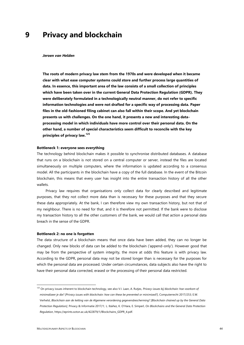# **9 Privacy and blockchain**

#### *Jeroen van Helden*

**The roots of modern privacy law stem from the 1970s and were developed when it became clear with what ease computer systems could store and further process large quantities of data. In essence, this important area of the law consists of a small collection of principles which have been taken over in the current General Data Protection Regulation (GDPR). They were deliberately formulated in a technologically neutral manner, do not refer to specific information technologies and were not drafted for a specific way of processing data. Paper files in the old-fashioned filing cabinet can also fall within their scope. And yet blockchain presents us with challenges. On the one hand, it presents a new and interesting data processing model in which individuals have more control over their personal data. On the other hand, a number of special characteristics seem difficult to reconcile with the key principles of privacy law.<sup>125</sup>**

#### **Bottleneck 1: everyone sees everything**

The technology behind blockchain makes it possible to synchronise distributed databases. A database that runs on a blockchain is not stored on a central computer or server, instead the files are located simultaneously on multiple computers, where the information is updated according to a consensus model. All the participants in the blockchain have a copy of the full database. In the event of the Bitcoin blockchain, this means that every user has insight into the entire transaction history of all the other wallets.

Privacy law requires that organisations only collect data for clearly described and legitimate purposes, that they not collect more data than is necessary for these purposes and that they secure these data appropriately. At the bank, I can therefore view my own transaction history, but not that of my neighbour. There is no need for that, and it is therefore not permitted. If the bank were to disclose my transaction history to all the other customers of the bank, we would call that action a personal data breach in the sense of the GDPR.

#### **Bottleneck 2: no one is forgotten**

The data structure of a blockchain means that once data have been added, they can no longer be changed. Only new blocks of data can be added to the blockchain ('append-only'). However good that may be from the perspective of system integrity, the more at odds this feature is with privacy law. According to the GDPR, personal data may not be stored longer than is necessary for the purposes for which the personal data are processed. Under certain circumstances, data subjects also have the right to have their personal data corrected, erased or the processing of their personal data restricted.

<sup>125</sup> On privacy issues inherent to blockchain technology, see also V.I. Laan, A. Rutjes, *Privacy-issues bij blockchain: hoe voorkom of minimaliseer je die? [Privacy issues with blockchain: how can these be prevented or minimised?]*, Computerrecht 2017/253; E.W. Verhelst, *Blockchain aan de ketting van de Algemene verordening gegevensbescherming? [Blockchain chained up by the General Data Protection Regulation]*, Privacy & Informatie 2017/1; L. Ibáñez, K. O'Hara, E. Simperl, *On Blockchains and the General Data Protection Regulation*, https://eprints.soton.ac.uk/422879/1/Blockchains\_GDPR\_4.pdf.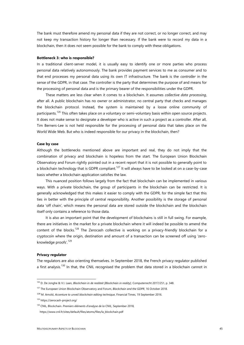The bank must therefore amend my personal data if they are not correct, or no longer correct, and may not keep my transaction history for longer than necessary. If the bank were to record my data in a blockchain, then it does not seem possible for the bank to comply with these obligations.

#### **Bottleneck 3: who is responsible?**

In a traditional client-server model, it is usually easy to identify one or more parties who process personal data relatively autonomously. The bank provides payment services to me as consumer and to that end processes my personal data using its own IT infrastructure. The bank is the *controller* in the sense of the GDPR, in that case. The controller is the party that determines the purpose of and means for the processing of personal data and is the primary bearer of the responsibilities under the GDPR.

These matters are less clear when it comes to a blockchain. It assumes *collective data processing*, after all. A public blockchain has no owner or administrator, no central party that checks and manages the blockchain protocol. Instead, the system is maintained by a loose online community of participants.<sup>126</sup> This often takes place on a voluntary or semi-voluntary basis within open source projects. It does not make sense to designate a developer who is active in such a project as a controller. After all, Tim Berners-Lee is not held responsible for the processing of personal data that takes place on the World Wide Web. But who is indeed responsible for our privacy in the blockchain, then?

#### **Case by case**

Although the bottlenecks mentioned above are important and real, they do not imply that the combination of privacy and blockchain is hopeless from the start. The European Union Blockchain Observatory and Forum rightly pointed out in a recent report that it is not possible to generally point to a blockchain technology that is GDPR compliant.<sup>127</sup> It will always have to be looked at on a case-by-case basis whether a blockchain application satisfies the law.

This nuanced position follows largely from the fact that blockchain can be implemented in various ways. With a private blockchain, the group of participants in the blockchain can be restricted. It is generally acknowledged that this makes it easier to comply with the GDPR, for the simple fact that this ties in better with the principle of central responsibility. Another possibility is the storage of personal data 'off chain', which means the personal data are stored outside the blockchain and the blockchain itself only contains a reference to those data.

It is also an important point that the development of blockchains is still in full swing. For example, there are initiatives in the market for a private blockchain where it will indeed be possible to amend the content of the blocks.<sup>128</sup> The Zerocash collective is working on a privacy-friendly blockchain for a cryptocoin where the origin, destination and amount of a transaction can be screened off using 'zero knowledge proofs'.<sup>129</sup>

#### **Privacy regulator**

The regulators are also orienting themselves. In September 2018, the French privacy regulator published a first analysis.<sup>130</sup> In that, the CNIL recognised the problem that data stored in a blockchain cannot in

<sup>126</sup> D. De Jonghe & V.I. Laan, *Blockchain in de realiteit [Blockchain in reality]*, Computerrecht 2017/251, p. 348.

<sup>127</sup> The European Union Blockchain Observatory and Forum, *Blockchain and the GDPR*, 16 October 2018.

<sup>128</sup> M. Arnold, *Accenture to unveil blockchain editing technique*, Financial Times, 19 September 2016.

<sup>129</sup> https://zerocash-project.org/

<sup>130</sup> CNIL, Blockchain. *Premiers éléments d'analyse de la CNIL*, September 2018,

https://www.cnil.fr/sites/default/files/atoms/files/la\_blockchain.pdf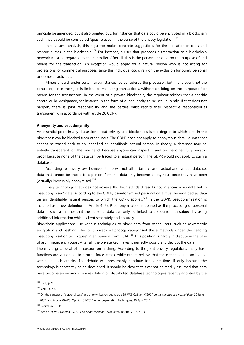principle be amended, but it also pointed out, for instance, that data could be encrypted in a blockchain such that it could be considered 'quasi-erased' in the sense of the privacy legislation.<sup>131</sup>

In this same analysis, this regulator makes concrete suggestions for the allocation of roles and responsibilities in the blockchain.<sup>132</sup> For instance, a user that proposes a transaction to a blockchain network must be regarded as the controller. After all, this is the person deciding on the purpose of and means for the transaction. An exception would apply for a natural person who is not acting for professional or commercial purposes, since this individual could rely on the exclusion for purely personal or domestic activities.

Miners should, under certain circumstances, be considered the processor, but in any event not the controller, since their job is limited to validating transactions, without deciding on the purpose of or means for the transactions. In the event of a private blockchain, the regulator advises that a specific controller be designated, for instance in the form of a legal entity to be set up jointly. If that does not happen, there is joint responsibility and the parties must record their respective responsibilities transparently, in accordance with article 26 GDPR.

#### **Anonymity and pseudonymity**

An essential point in any discussion about privacy and blockchains is the degree to which data in the blockchain can be blocked from other users. The GDPR does not apply to anonymous data, i.e. data that cannot be traced back to an identified or identifiable natural person. In theory, a database may be entirely transparent, on the one hand, because anyone can inspect it, and on the other fully privacy proof because none of the data can be traced to a natural person. The GDPR would not apply to such a database.

According to privacy law, however, there will not often be a case of actual anonymous data, i.e. data that cannot be traced to a person. Personal data only become anonymous once they have been (virtually) irreversibly anonymised.<sup>133</sup>

Every technology that does not achieve this high standard results not in anonymous data but in 'pseudonymised' data. According to the GDPR, pseudonymised personal data must be regarded as data on an identifiable natural person, to which the GDPR applies.<sup>134</sup> In the GDPR, pseudonymisation is included as a new definition in Article 4 (5). Pseudonymisation is defined as the processing of personal data in such a manner that the personal data can only be linked to a specific data subject by using additional information which is kept separately and securely.

Blockchain applications use various techniques to block data from other users, such as asymmetric encryption and hashing. The joint privacy watchdogs categorised these methods under the heading 'pseudonymisation techniques' in an opinion from 2014.<sup>135</sup> This position is hardly in dispute in the case of asymmetric encryption. After all, the private key makes it perfectly possible to decrypt the data.

There is a great deal of discussion on hashing. According to the joint privacy regulators, many hash functions are vulnerable to a brute force attack, while others believe that these techniques can indeed withstand such attacks. The debate will presumably continue for some time, if only because the technology is constantly being developed. It should be clear that it cannot be readily assumed that data have become anonymous. In a resolution on distributed database technologies recently adopted by the

<sup>131</sup> CNIL, p. 9.

<sup>132</sup> CNIL, p. 2-5.

<sup>133</sup> On the concept of 'personal data' and anonymisation, see Article 29-WG, *Opinion 4/2007 on the concept of personal data*, 20 June 2007; and Article 29-WG, Opinion 05/2014 on Anonymisation Techniques, 10 April 2014.

<sup>134</sup> Recital 26 GDPR.

<sup>135</sup> Article 29-WG, *Opinion 05/2014 on Anonymisation Techniques*, 10 April 2014, p. 20.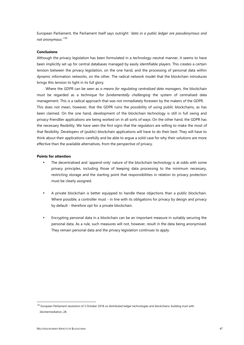European Parliament, the Parliament itself says outright: '*data in a public ledger are pseudonymous and not anonymous*.'<sup>136</sup>

# **Conclusions**

Although the privacy legislation has been formulated in a technology-neutral manner, it seems to have been implicitly set up for central databases managed by easily identifiable players. This creates a certain tension between the privacy legislation, on the one hand, and the processing of personal data within dynamic information networks, on the other. The radical network model that the blockchain introduces brings this tension to light in its full glory.

Where the GDPR can be seen as *a means for regulating centralised data managers*, the blockchain must be regarded as a technique for *fundamentally challenging* the system of centralised data management. This is a radical approach that was not immediately foreseen by the makers of the GDPR. This does not mean, however, that the GDPR ruins the possibility of using public blockchains, as has been claimed. On the one hand, development of the blockchain technology is still in full swing and privacy-friendlier applications are being worked on in all sorts of ways. On the other hand, the GDPR has the necessary flexibility. We have seen the first signs that the regulators are willing to make the most of that flexibility. Developers of (public) blockchain applications will have to do their best. They will have to think about their applications carefully and be able to argue a solid case for why their solutions are more effective than the available alternatives, from the perspective of privacy.

#### **Points for attention**

- The decentralised and 'append-only' nature of the blockchain technology is at odds with some privacy principles, including those of keeping data processing to the minimum necessary, restricting storage and the starting point that responsibilities in relation to privacy protection must be clearly assigned.
- A private blockchain is better equipped to handle these objections than a public blockchain. Where possible, a controller must - in line with its obligations for privacy by design and privacy by default - therefore opt for a private blockchain.
- Encrypting personal data in a blockchain can be an important measure in suitably securing the personal data. As a rule, such measures will not, however, result in the data being anonymised. They remain personal data and the privacy legislation continues to apply.

<sup>&</sup>lt;sup>136</sup> European Parliament resolution of 3 October 2018 on distributed ledger technologies and blockchains: building trust with disintermediation, 28.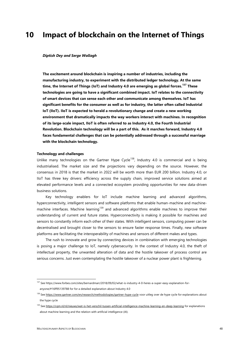# **10 Impact of blockchain on the Internet of Things**

#### *Diptish Dey and Serge Wallagh*

**The excitement around blockchain is inspiring a number of industries, including the manufacturing industry, to experiment with the distributed ledger technology. At the same time, the Internet of Things (IoT) and Industry 4.0 are emerging as global forces.<sup>137</sup> These technologies are going to have a significant combined impact. IoT relates to the connectivity of smart devices that can sense each other and communicate among themselves. IoT has significant benefits for the consumer as well as for industry, the latter often called Industrial IoT (IIoT). IIoT is expected to herald a revolutionary change and create a new working environment that dramatically impacts the way workers interact with machines. In recognition of its large-scale impact, IIoT is often referred to as Industry 4.0, the Fourth Industrial Revolution. Blockchain technology will be a part of this. As it marches forward, Industry 4.0 faces fundamental challenges that can be potentially addressed through a successful marriage with the blockchain technology.**

#### **Technology and challenges**

Unlike many technologies on the Gartner Hype Cycle<sup>138</sup>, Industry 4.0 is commercial and is being industrialised. The market size and the projections vary depending on the source. However, the consensus in 2018 is that the market in 2022 will be worth more than EUR 200 billion. Industry 4.0, or IIoT has three key drivers: efficiency across the supply chain, improved service solutions aimed at elevated performance levels and a connected ecosystem providing opportunities for new data-driven business solutions.

Key technology enablers for IoT include machine learning and advanced algorithms, hyperconnectivity, intelligent sensors and software platforms that enable human-machine and machine machine interfaces. Machine learning<sup>139</sup> and advanced algorithms enable machines to improve their understanding of current and future states. Hyperconnectivity is making it possible for machines and sensors to constantly inform each other of their states. With intelligent sensors, computing power can be decentralised and brought closer to the sensors to ensure faster response times. Finally, new software platforms are facilitating the interoperability of machines and sensors of different makes and types.

The rush to innovate and grow by connecting devices in combination with emerging technologies is posing a major challenge to IoT, namely cybersecurity. In the context of Industry 4.0, the theft of intellectual property, the unwanted alteration of data and the hostile takeover of process control are serious concerns. Just even contemplating the hostile takeover of a nuclear power plant is frightening.

<sup>137</sup> See https://www.forbes.com/sites/bernardmarr/2018/09/02/what-is-industry-4-0-heres-a-super-easy-explanation-for anyone/#16ff95139788 for for a detailed explanation about Industry 4.0

<sup>&</sup>lt;sup>138</sup> See https://www.gartner.com/en/research/methodologies/gartner-hype-cycle voor uitleg over de hype cycle for explanations about the hype cycle

<sup>&</sup>lt;sup>139</sup> See https://cqm.nl/nl/nieuws/wat-is-het-verschil-tussen-artificial-intelligence-machine-learning-en-deep-learning for explanations about machine learning and the relation with artificial intelligence (AI).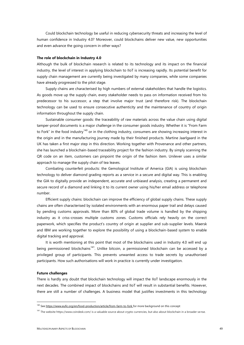Could blockchain technology be useful in reducing cybersecurity threats and increasing the level of human confidence in Industry 4.0? Moreover, could blockchains deliver new value, new opportunities and even advance the going concern in other ways?

#### **The role of blockchain in Industry 4.0**

Although the bulk of blockchain research is related to its technology and its impact on the financial industry, the level of interest in applying blockchain to IIoT is increasing rapidly. Its potential benefit for supply chain management are currently being investigated by many companies, while some companies have already progressed to the pilot stage.

Supply chains are characterised by high numbers of external stakeholders that handle the logistics. As goods move up the supply chain, every stakeholder needs to pass on information received from his predecessor to his successor, a step that involve major trust (and therefore risk). The blockchain technology can be used to ensure consecutive authenticity and the maintenance of country of origin information throughout the supply chain.

Sustainable consumer goods: the traceability of raw materials across the value chain using digital tamper-proof documents is a major challenge in the consumer goods industry. Whether it is "From Farm to Fork" in the food industry<sup>140</sup> or in the clothing industry, consumers are showing increasing interest in the origin and in the manufacturing journey made by their finished products. Martine Jaarlgaard in the UK has taken a first major step in this direction. Working together with Provenance and other partners, she has launched a blockchain-based traceability project for the fashion industry. By simply scanning the QR code on an item, customers can pinpoint the origin of the fashion item. Unilever uses a similar approach to manage the supply chain of tea leaves.

Combating counterfeit products: the Gemological Institute of America (GIA) is using blockchain technology to deliver diamond grading reports as a service in a secure and digital way. This is enabling the GIA to digitally provide an independent, accurate and unbiased analysis, creating a permanent and secure record of a diamond and linking it to its current owner using his/her email address or telephone number.

Efficient supply chains: blockchain can improve the efficiency of global supply chains. These supply chains are often characterised by isolated environments with an enormous paper trail and delays caused by pending customs approvals. More than 80% of global trade volume is handled by the shipping industry as it criss-crosses multiple customs zones. Customs officials rely heavily on the correct paperwork, which specifies the product's country of origin at supplier and sub-supplier levels. Maersk and IBM are working together to explore the possibility of using a blockchain-based system to enable digital tracking and approval.

It is worth mentioning at this point that most of the blockchains used in Industry 4.0 will end up being permissioned blockchains<sup>141</sup>. Unlike bitcoin, a permissioned blockchain can be accessed by a privileged group of participants. This prevents unwanted access to trade secrets by unauthorised participants. How such authorisations will work in practice is currently under investigation.

#### **Future challenges**

There is hardly any doubt that blockchain technology will impact the IIoT landscape enormously in the next decades. The combined impact of blockchains and IIoT will result in substantial benefits. However, there are still a number of challenges. A business model that justifies investments in this technology

<sup>&</sup>lt;sup>140</sup> See https://www.eufic.org/en/food-production/article/from-farm-to-fork for more background on this concept

<sup>&</sup>lt;sup>141</sup> The website https://www.coindesk.com/ is a valuable source about crypto currencies, but also about blockchain in a broader sense.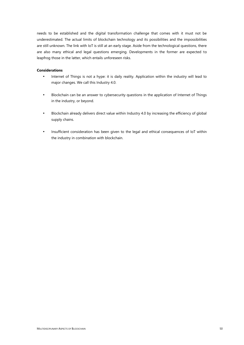needs to be established and the digital transformation challenge that comes with it must not be underestimated. The actual limits of blockchain technology and its possibilities and the impossibilities are still unknown. The link with IoT is still at an early stage. Aside from the technological questions, there are also many ethical and legal questions emerging. Developments in the former are expected to leapfrog those in the latter, which entails unforeseen risks.

# **Considerations**

- Internet of Things is not a hype: it is daily reality. Application within the industry will lead to major changes. We call this Industry 4.0.
- Blockchain can be an answer to cybersecurity questions in the application of Internet of Things in the industry, or beyond.
- Blockchain already delivers direct value within Industry 4.0 by increasing the efficiency of global supply chains.
- Insufficient consideration has been given to the legal and ethical consequences of IoT within the industry in combination with blockchain.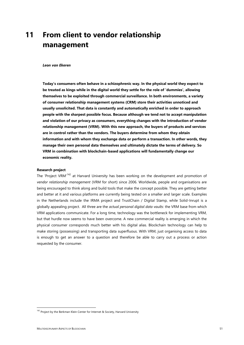# **11 From client to vendor relationship management**

#### *Leon van Ekeren*

**Today's consumers often behave in a schizophrenic way. In the physical world they expect to be treated as kings while in the digital world they settle for the role of 'dummies', allowing themselves to be exploited through commercial surveillance. In both environments, a variety of consumer relationship management systems (CRM) store their activities unnoticed and usually unsolicited. That data is constantly and automatically enriched in order to approach people with the sharpest possible focus. Because although we tend not to accept manipulation and violation of our privacy as consumers, everything changes with the introduction of vendor relationship management (VRM). With this new approach, the buyers of products and services are in control rather than the vendors. The buyers determine from whom they obtain information and with whom they exchange data or perform a transaction. In other words, they manage their own personal data themselves and ultimately dictate the terms of delivery. So VRM in combination with blockchain-based applications will fundamentally change our economic reality.**

#### **Research project**

The 'Project VRM<sup>142</sup> at Harvard University has been working on the development and promotion of *vendor relationship management* (VRM for short) since 2006. Worldwide, people and organisations are being encouraged to think along and build tools that make the concept possible. They are getting better and better at it and various platforms are currently being tested on a smaller and larger scale. Examples in the Netherlands include the IRMA project and TrustChain / Digital Stamp, while Solid-Inrupt is a globally appealing project. All three are the *actual personal digital data vaults*: the VRM base from which VRM applications communicate. For a long time, technology was the bottleneck for implementing VRM, but that hurdle now seems to have been overcome. A new commercial reality is emerging in which the physical consumer corresponds much better with his digital alias. Blockchain technology can help to make storing (possessing) and transporting data superfluous. With VRM, just organising access to data is enough to get an answer to a question and therefore be able to carry out a process or action requested by the consumer.

<sup>&</sup>lt;sup>142</sup> Project by the Berkman Klein Center for Internet & Society, Harvard University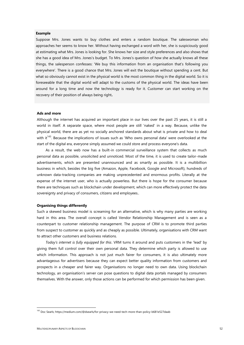# **Example**

Suppose Mrs. Jones wants to buy clothes and enters a random boutique. The saleswoman who approaches her seems to know her. Without having exchanged a word with her, she is suspiciously good at estimating what Mrs. Jones is looking for. She knows her size and style preferences and also shows that she has a good idea of Mrs. Jones's budget. To Mrs. Jones's question of how she actually knows all these things, the salesperson confesses: 'We buy this information from an organisation that's following you everywhere'. There is a good chance that Mrs. Jones will exit the boutique without spending a cent. But what so obviously cannot exist in the physical world is the most common thing in the digital world. So it is foreseeable that the digital world will adapt to the customs of the physical world. The ideas have been around for a long time and now the technology is ready for it. Customer can start working on the recovery of their position of always being right**.**

#### **Ads and more**

Although the internet has acquired an important place in our lives over the past 25 years, it is still a world in itself. A separate space, where most people are still 'naked' in a way. Because, unlike the physical world, there are as yet no socially anchored standards about what is private and how to deal with it<sup>143</sup>. Because the implications of issues such as 'Who owns personal data' were overlooked at the start of the digital era, everyone simply assumed we could store and process everyone's data.

As a result, the web now has a built-in commercial surveillance system that collects as much personal data as possible, unsolicited and unnoticed. Most of the time, it is used to create tailor-made advertisements, which are presented unannounced and as smartly as possible. It is a multibillion business in which, besides the big five (Amazon, Apple, Facebook, Google and Microsoft), hundreds of unknown data-tracking companies are making unprecedented and enormous profits. Literally at the expense of the internet user, who is actually powerless. But there is hope for the consumer because there are techniques such as blockchain under development, which can more effectively protect the data sovereignty and privacy of consumers, citizens and employees..

#### **Organising things differently**

Such a skewed business model is screaming for an alternative, which is why many parties are working hard in this area. The overall concept is called Vendor Relationship Management and is seen as a counterpart to customer relationship management. The purpose of CRM is to promote third parties from suspect to customer as quickly and as cheaply as possible. Ultimately, organisations with CRM want to attract other customers and business relations.

*Today's internet is fully equipped for this*. VRM turns it around and puts customers in the 'lead' by giving them full control over their own personal data. They determine which party is allowed to use which information. This approach is not just much fairer for consumers, it is also ultimately more advantageous for advertisers because they can expect better quality information from customers and prospects in a cheaper and fairer way. Organisations no longer need to own data. Using blockchain technology, an organisation's server can pose questions to digital data portals managed by consumers themselves. With the answer, only those actions can be performed for which permission has been given.

<sup>143</sup> Doc Searls; https://medium.com/@dsearls/for-privacy-we-need-tech-more-than-policy-b681e527daab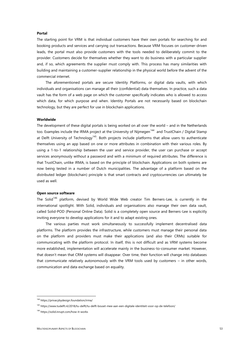# **Portal**

The starting point for VRM is that individual customers have their own portals for searching for and booking products and services and carrying out transactions. Because VRM focuses on customer-driven leads, the portal must also provide customers with the tools needed to deliberately commit to the provider. Customers decide for themselves whether they want to do business with a particular supplier and, if so, which agreements the supplier must comply with. This process has many similarities with building and maintaining a customer-supplier relationship in the physical world before the advent of the commercial internet.

The aforementioned portals are secure Identity Platforms, or digital data vaults, with which individuals and organisations can manage all their (confidential) data themselves. In practice, such a data vault has the form of a web page on which the customer specifically indicates who is allowed to access which data, for which purpose and when. Identity Portals are not necessarily based on blockchain technology, but they are perfect for use in blockchain applications.

#### **Worldwide**

The development of these digital portals is being worked on all over the world – and in the Netherlands too. Examples include the IRMA project at the University of Nijmegen<sup>144</sup> and TrustChain / Digital Stamp at Delft University of Technology<sup>145</sup>. Both projects include platforms that allow users to authenticate themselves using an app based on one or more attributes in combination with their various roles. By using a 1-to-1 relationship between the user and service provider, the user can purchase or accept services anonymously without a password and with a minimum of required attributes. The difference is that TrustChain, unlike IRMA, is based on the principle of blockchain. Applications on both systems are now being tested in a number of Dutch municipalities. The advantage of a platform based on the distributed ledger (blockchain) principle is that smart contracts and cryptocurrencies can ultimately be used as well.

#### **Open source software**

The Solid<sup>146</sup> platform, devised by World Wide Web creator Tim Berners-Lee, is currently in the international spotlight. With Solid, individuals and organisations also manage their own data vault, called Solid-POD (Personal Online Data). Solid is a completely open source and Berners-Lee is explicitly inviting everyone to develop applications for it and to adapt existing ones.

The various parties must work simultaneously to successfully implement decentralised data platforms. The platform provides the infrastructure, while customers must manage their personal data on the platform and providers must make their applications (and also their CRMs) suitable for communicating with the platform protocol. In itself, this is not difficult and as VRM systems become more established, implementation will accelerate mainly in the business-to-consumer market. However, that doesn't mean that CRM systems will disappear. Over time, their function will change into databases that communicate relatively autonomously with the VRM tools used by customers – in other words, communication and data exchange based on equality.

<sup>144</sup> https://privacybydesign.foundation/irma/

<sup>145</sup> https://www.tudelft.nl/2018/tu-delft/tu-delft-bouwt-mee-aan-een-digitale-identiteit-voor-op-de-telefoon/

<sup>146</sup> https://solid.inrupt.com/how-it-works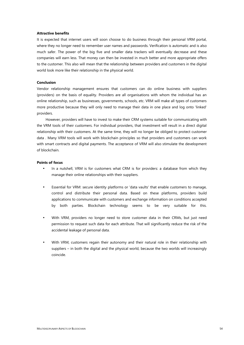# **Attractive benefits**

It is expected that internet users will soon choose to do business through their personal VRM portal, where they no longer need to remember user names and passwords. Verification is automatic and is also much safer. The power of the big five and smaller data trackers will eventually decrease and these companies will earn less. That money can then be invested in much better and more appropriate offers to the customer. This also will mean that the relationship between providers and customers in the digital world look more like their relationship in the physical world.

#### **Conclusion**

Vendor relationship management ensures that customers can do online business with suppliers (providers) on the basis of equality. Providers are all organisations with whom the individual has an online relationship, such as businesses, governments, schools, etc. VRM will make all types of customers more productive because they will only need to manage their data in one place and log onto 'linked' providers.

However, providers will have to invest to make their CRM systems suitable for communicating with the VRM tools of their customers. For individual providers, that investment will result in a direct digital relationship with their customers. At the same time, they will no longer be obliged to protect customer data . Many VRM tools will work with blockchain principles so that providers and customers can work with smart contracts and digital payments. The acceptance of VRM will also stimulate the development of blockchain.

#### **Points of focus**

- In a nutshell, VRM is for customers what CRM is for providers: a database from which they manage their online relationships with their suppliers.
- Essential for VRM: secure identity platforms or 'data vaults' that enable customers to manage, control and distribute their personal data. Based on these platforms, providers build applications to communicate with customers and exchange information on conditions accepted by both parties. Blockchain technology seems to be very suitable for this.
- With VRM, providers no longer need to store customer data in their CRMs, but just need permission to request such data for each attribute. That will significantly reduce the risk of the accidental leakage of personal data.
- With VRM, customers regain their autonomy and their natural role in their relationship with suppliers – in both the digital and the physical world, because the two worlds will increasingly coincide.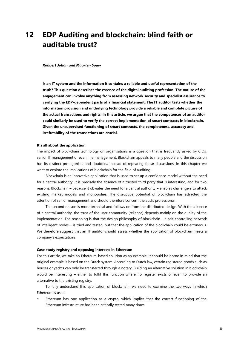# **12 EDP Auditing and blockchain: blind faith or auditable trust?**

#### *Robbert Johan and Maarten Souw*

**Is an IT system and the information it contains a reliable and useful representation of the truth? This question describes the essence of the digital auditing profession. The nature of the engagement can involve anything from assessing network security and specialist assurance to verifying the EDP-dependent parts of a financial statement. The IT auditor tests whether the information provision and underlying technology provide a reliable and complete picture of the actual transactions and rights. In this article, we argue that the competences of an auditor could similarly be used to verify the correct implementation of smart contracts in blockchain. Given the unsupervised functioning of smart contracts, the completeness, accuracy and irrefutability of the transactions are crucial.**

# **It's all about the application**

The impact of blockchain technology on organisations is a question that is frequently asked by CIOs, senior IT management or even line management. Blockchain appeals to many people and the discussion has its distinct protagonists and doubters. Instead of repeating these discussions, in this chapter we want to explore the implications of blockchain for the field of auditing.

Blockchain is an innovative application that is used to set up a confidence model without the need for a central authority. It is precisely the absence of a trusted third party that is interesting, and for two reasons. Blockchain – because it obviates the need for a central authority – enables challengers to attack existing market models and monopolies. The disruptive potential of blockchain has attracted the attention of senior management and should therefore concern the audit professional.

The second reason is more technical and follows on from the distributed design. With the absence of a central authority, the trust of the user community (reliance) depends mainly on the quality of the implementation. The reasoning is that the design philosophy of blockchain – a self-controlling network of intelligent nodes – is tried and tested, but that the application of the blockchain could be erroneous. We therefore suggest that an IT auditor should assess whether the application of blockchain meets a company's expectations.

# **Case study registry and opposing interests in Ethereum**

For this article, we take an Ethereum-based solution as an example. It should be borne in mind that the original example is based on the Dutch system. According to Dutch law, certain registered goods such as houses or yachts can only be transferred through a notary. Building an alternative solution in blockchain would be interesting – either to fulfil this function where no register exists or even to provide an alternative to the existing registry.

To fully understand this application of blockchain, we need to examine the two ways in which Ethereum is used:

 Ethereum has one application as a crypto, which implies that the correct functioning of the Ethereum infrastructure has been critically tested many times.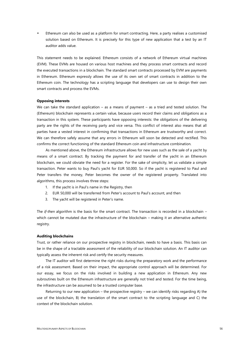Ethereum can also be used as a platform for smart contracting. Here, a party realises a customised solution based on Ethereum. It is precisely for this type of new application that a test by an IT auditor adds value.

This statement needs to be explained. Ethereum consists of a network of Ethereum virtual machines (EVM). These EVMs are housed on various host machines and they process smart contracts and record the executed transactions in a blockchain. The standard smart contracts processed by EVM are payments in Ethereum. Ethereum expressly allows the use of its own set of smart contracts in addition to the Ethereum coin. The technology has a scripting language that developers can use to design their own smart contracts and process the EVMs.

#### **Opposing interests**

We can take the standard application – as a means of payment – as a tried and tested solution. The (Ethereum) blockchain represents a certain value, because users record their claims and obligations as a transaction in this system. These participants have opposing interests: the obligations of the delivering party are the rights of the receiving party and vice versa. This conflict of interest also means that all parties have a vested interest in confirming that transactions in Ethereum are trustworthy and correct. We can therefore safely assume that any errors in Ethereum will soon be detected and rectified. This confirms the correct functioning of the standard Ethereum coin and infrastructure combination.

As mentioned above, the Ethereum infrastructure allows for new uses such as the sale of a yacht by means of a smart contract. By tracking the payment for and transfer of the yacht in an Ethereum blockchain, we could obviate the need for a register. For the sake of simplicity, let us validate a simple transaction. Peter wants to buy Paul's yacht for EUR 50,000. So if the yacht is registered to Paul and Peter transfers the money, Peter becomes the owner of the registered property. Translated into algorithms, this process involves three steps:

- 1. If the yacht is in Paul's name in the Registry, then
- 2. EUR 50,000 will be transferred from Peter's account to Paul's account, and then
- 3. The yacht will be registered in Peter's name.

The *if*-*then* algorithm is the basis for the smart contract. The transaction is recorded in a blockchain – which cannot be mutated due the infrastructure of the blockchain – making it an alternative authentic registry.

#### **Auditing blockchains**

Trust, or rather reliance on our prospective registry in blockchain, needs to have a basis. This basis can be in the shape of a tractable assessment of the reliability of our blockchain solution. An IT auditor can typically assess the inherent risk and certify the security measures.

The IT auditor will first determine the right risks during the preparatory work and the performance of a risk assessment. Based on their impact, the appropriate control approach will be determined. For our essay, we focus on the risks involved in building a new application in Ethereum. Any new subroutines built on the Ethereum infrastructure are generally not tried and tested. For the time being, the infrastructure can be assumed to be a trusted computer base.

Returning to our new application – the prospective registry – we can identify risks regarding A) the use of the blockchain, B) the translation of the smart contract to the scripting language and C) the context of the blockchain solution.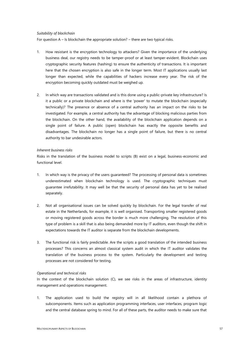# *Suitability of blockchain*

For question A – Is blockchain the appropriate solution? – there are two typical risks.

- 1. How resistant is the encryption technology to attackers? Given the importance of the underlying business deal, our registry needs to be tamper-proof or at least tamper-evident. Blockchain uses cryptographic security features (hashing) to ensure the authenticity of transactions. It is important here that the chosen encryption is also safe in the longer term. Most IT applications usually last longer than expected, while the capabilities of hackers increase every year. The risk of the encryption becoming quickly outdated must be weighed up.
- 2. In which way are transactions validated and is this done using a public-private key infrastructure? Is it a public or a private blockchain and where is the 'power' to mutate the blockchain (especially technically)? The presence or absence of a central authority has an impact on the risks to be investigated. For example, a central authority has the advantage of blocking malicious parties from the blockchain. On the other hand, the availability of the blockchain application depends on a single point of failure. A public (open) blockchain has exactly the opposite benefits and disadvantages. The blockchain no longer has a single point of failure, but there is no central authority to bar undesirable actors.

# *Inherent business risks*

Risks in the translation of the business model to scripts (B) exist on a legal, business-economic and functional level.

- 1. In which way is the privacy of the users guaranteed? The processing of personal data is sometimes underestimated when blockchain technology is used. The cryptographic techniques must guarantee irrefutability. It may well be that the security of personal data has yet to be realised separately.
- 2. Not all organisational issues can be solved quickly by blockchain. For the legal transfer of real estate in the Netherlands, for example, it is well organised. Transporting smaller registered goods or moving registered goods across the border is much more challenging. The resolution of this type of problem is a skill that is also being demanded more by IT auditors, even though the shift in expectations towards the IT auditor is separate from the blockchain developments.
- 3. The functional risk is fairly predictable. Are the scripts a good translation of the intended business processes? This concerns an almost classical system audit in which the IT auditor validates the translation of the business process to the system. Particularly the development and testing processes are not considered for testing.

#### *Operational and technical risks*

In the context of the blockchain solution (C), we see risks in the areas of infrastructure, identity management and operations management.

1. The application used to build the registry will in all likelihood contain a plethora of subcomponents. Items such as application programming interfaces, user interfaces, program logic and the central database spring to mind. For all of these parts, the auditor needs to make sure that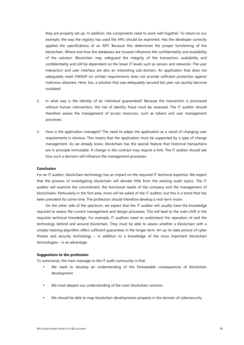they are properly set up. In addition, the components need to work well together. To return to our example, the way the registry has used the APIs should be examined. Has the developer correctly applied the specifications of an API? Because this determines the proper functioning of the blockchain. Where and how the databases are housed influences the confidentiality and availability of the solution. Blockchain may safeguard the integrity of the transaction, availability and confidentiality and still be dependent on the lower IT levels such as servers and networks. The user Interaction and user interface are also an interesting sub-domain. An application that does not adequately meet OWASP (or similar) requirements does not provide sufficient protection against malicious attackers. Here, too, a solution that was adequately secured last year can quickly become outdated.

- 2. In what way is the identity of an individual guaranteed? Because the transaction is processed without human intervention, the risk of identity fraud must be assessed. The IT auditor should therefore assess the management of access resources, such as tokens and user management processes.
- 3. How is the application managed? The need to adapt the application as a result of changing user requirements is obvious. This means that the application must be supported by a type of change management. As we already know, blockchain has the special feature that historical transactions are in principle immutable. A change in the contract may require a fork. The IT auditor should ask how such a decision will influence the management processes.

# **Conclusion**

For an IT auditor, blockchain technology has an impact on the required IT technical expertise. We expect that the process of investigating blockchain will deviate little from the existing audit topics. The IT auditor will examine the commitment, the functional needs of the company and the management of blockchains. Particularly in the first area, more will be asked of the IT auditor, but this is a trend that has been prevalent for some time. The profession should therefore develop a mid-term vision.

On the other side of the spectrum, we expect that the IT auditor will usually have the knowledge required to assess the current management and design processes. This will lead to the main shift in the requisite technical knowledge. For example, IT auditors need to understand the operation of and the technology behind and around blockchain. They must be able to assess whether a blockchain with a simpler hashing algorithm offers sufficient guarantees in the longer term. An up-to-date picture of cyber threats and security technology – in addition to a knowledge of the most important blockchain technologies – is an advantage.

#### **Suggestions to the profession**

To summarise, the main message to the IT audit community is that:

- We need to develop an understanding of the foreseeable consequences of blockchain development.
- We must deepen our understanding of the main blockchain versions.
- We should be able to map blockchain developments properly in the domain of cybersecurity.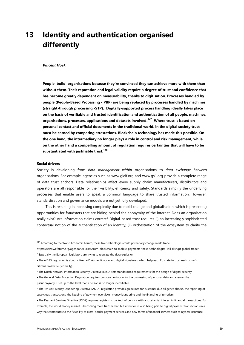# **13 Identity and authentication organised differently**

#### *Vincent Hoek*

**People 'build' organisations because they're convinced they can achieve more with them than without them. Their reputation and legal validity require a degree of trust and confidence that has become greatly dependent on measurability, thanks to digitisation. Processes handled by people (People-Based Processing - PBP) are being replaced by processes handled by machines (straight-through processing -STP). Digitally-supported process handling ideally takes place on the basis of verifiable and trusted identification and authentication of all people, machines, organisations, processes, applications and datasets involved.<sup>147</sup> Where trust is based on personal contact and official documents in the traditional world, in the digital society trust must be earned by comparing attestations. Blockchain technology has made this possible. On the one hand, the intermediary no longer plays a role in control and risk management, while on the other hand a compelling amount of regulation requires certainties that will have to be substantiated with justifiable trust.<sup>148</sup>**

#### **Social drivers**

Society is developing from data *management within* organisations to *data exchange between* organisations. For example, agencies such as www.gleif.org and www.gs1.org provide a complete range of data trust anchors. Data relationships affect every supply chain: manufacturers, distributors and operators are all responsible for their visibility, efficiency and safety. Standards simplify the underlying processes that enable users to speak a common language to share trusted information. However, standardisation and governance models are not yet fully developed.

This is resulting in increasing complexity due to rapid change and globalisation, which is presenting opportunities for fraudsters that are hiding behind the anonymity of the internet. Does an organisation really exist? Are information claims correct? Digital-based trust requires (i) an increasingly sophisticated contextual notion of the authentication of an identity, (ii) orchestration of the ecosystem to clarify the

<sup>&</sup>lt;sup>147</sup> According to the World Economic Forum, these five technologies could potentially change world trade

https://www.weforum.org/agenda/2018/06/from-blockchain-to-mobile-payments-these-technologies-will-disrupt-global-trade/  $2$  Especially the European legislators are trying to regulate the data explosion:

<sup>•</sup> The eIDAS regulation is about citizen eID Authentication and digital signatures, which help each EU state to trust each other's citizens crosswise (federally).

<sup>•</sup> The Dutch Network Information Security Directive (NISD) sets standardised requirements for the design of digital security.

<sup>•</sup> The General Data Protection Regulation requires purpose limitation for the processing of personal data and ensures that pseudonymity is set up to the level that a person is no longer identifiable.

<sup>•</sup> The 4th Anti Money Laundering Directive (AML4) regulation provides guidelines for customer due diligence checks, the reporting of suspicious transactions, the keeping of payment overviews, money laundering and the financing of terrorism.

<sup>•</sup> The Payment Services Directive (PSD2) requires registers to be kept of persons with a substantial interest in financial transactions. For example, the world money market is becoming more transparent, but attention is also being paid to digital payment transactions in a way that contributes to the flexibility of cross-border payment services and new forms of financial services such as (cyber) insurance.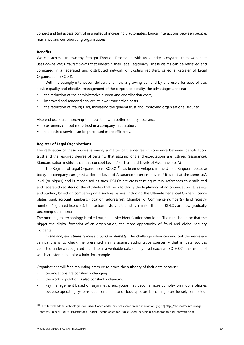context and (iii) access control in a pallet of increasingly automated, logical interactions between people, machines and corroborating organisations.

### **Benefits**

We can achieve trustworthy Straight Through Processing with an identity ecosystem framework that uses *online, cross-trusted claims* that underpin their legal legitimacy. These claims can be retrieved and compared in a federated and distributed network of trusting registers, called a Register of Legal Organisations (ROLO).

With increasingly interwoven delivery channels, a growing demand by end users for ease of use, service quality and effective management of the corporate identity, the advantages are clear:

- ) the reduction of the administrative burden and coordination costs;
- improved and renewed services at lower transaction costs;
- the reduction of (fraud) risks, increasing the general trust and improving organisational security.

Also end users are improving their position with better identity assurance:

- customers can put more trust in a company's reputation;
- the desired service can be purchased more efficiently.

#### **Register of Legal Organisations**

The realisation of these wishes is mainly a matter of the degree of coherence between identification, trust and the required degree of certainty that assumptions and expectations are justified (assurance). Standardisation institutes call this concept Level(s) of Trust and Levels of Assurance (LoA).

The Register of Legal Organisations (ROLO)<sup>149</sup> has been developed in the United Kingdom because today no company can grant a decent Level of Assurance to an employee if it is not at the same LoA level (or higher) and is recognised as such. ROLOs are cross-trusting mutual references to distributed and federated registers of the attributes that help to clarify the legitimacy of an organisation, its assets and staffing, based on comparing data such as names (including the Ultimate Beneficial Owner), licence plates, bank account numbers, (location) address(es), Chamber of Commerce number(s), land registry number(s), granted licence(s), transaction history ... the list is infinite. The first ROLOs are now gradually becoming operational.

The more digital technology is rolled out, the easier identification should be. The rule should be that the bigger the digital footprint of an organisation, the more opportunity of fraud and digital security incidents.

*In the end, everything revolves around verifiability*. The challenge when carrying out the necessary verifications is to check the presented claims against authoritative sources – that is, data sources collected under a recognised mandate at a verifiable data quality level (such as ISO 8000), the results of which are stored in a blockchain, for example.

Organisations will face mounting pressure to prove the authority of their data because:

- organisations are constantly changing
- the work population is also constantly changing
- key management based on asymmetric encryption has become more complex on mobile phones because operating systems, data containers and cloud apps are becoming more loosely connected.

<sup>&</sup>lt;sup>149</sup> Distributed Ledger Technologies for Public Good: leadership, collaboration and innovation, [pg 13] http://chrisholmes.co.uk/wpcontent/uploads/2017/11/Distributed-Ledger-Technologies-for-Public-Good\_leadership-collaboration-and-innovation.pdf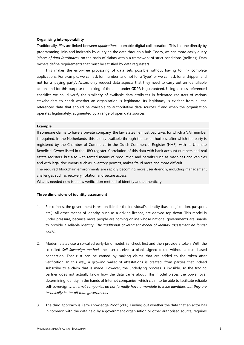#### **Organising interoperability**

Traditionally, *files* are linked between *applications* to enable digital collaboration. This is done directly by programming links and indirectly by querying the data through a hub. Today, we can more easily query *'pieces of data (attributes*)' on the basis of claims within a framework of strict conditions (policies). Data owners define requirements that must be satisfied by data requesters.

This makes the error-free processing of data sets possible without having to link complete applications. For example, we can ask for 'number' and not for a 'type', or we can ask for a 'shipper' and not for a 'paying party'. Actors only request data aspects that they need to carry out an identifiable action, and for this purpose the linking of the data under GDPR is guaranteed. Using a cross-referenced checklist, we could verify the similarity of available data attributes in federated registers of various stakeholders to check whether an organisation is legitimate. Its legitimacy is evident from all the referenced data that should be available to authoritative data sources if and when the organisation operates legitimately, augmented by a range of open data sources.

#### **Example**

If someone claims to have a private company, the law states he must pay taxes for which a VAT number is required. In the Netherlands, this is only available through the tax authorities, after which the party is registered by the Chamber of Commerce in the Dutch Commercial Register (NHR), with its Ultimate Beneficial Owner listed in the UBO register. Correlation of this data with bank account numbers and real estate registers, but also with rented means of production and permits such as machines and vehicles and with legal documents such as inventory permits, makes fraud more and more difficult.

The required blockchain environments are rapidly becoming more user-friendly, including management challenges such as recovery, rotation and secure access.

What is needed now is a new verification method of identity and authenticity.

#### **Three dimensions of identity assessment**

- 1. For citizens, the government is responsible for the individual's identity (basic registration, passport, etc.). All other means of identity, such as a driving licence, are derived top down. This model is under pressure, because more people are coming online whose national governments are unable to provide a reliable identity. *The traditional government model of identity assessment no longer works.*
- 2. Modern states use a so-called early-bind model, i.e. check first and then provide a token. With the so-called *Self-Sovereign method*, the user receives a blank signed token without a trust-based connection. That rust can be earned by making claims that are added to the token after verification. In this way, a growing wallet of attestations is created, from parties that indeed subscribe to a claim that is made. However, the underlying process is invisible, so the trading partner does not actually know how the data came about. This model places the power over determining identity in the hands of Internet companies, which claim to be able to facilitate reliable self-sovereignty. *Internet companies do not formally have a mandate to issue identities, but they are technically better off than governments.*
- 3. The third approach is Zero-Knowledge Proof (ZKP). Finding out whether the data that an actor has in common with the data held by a government organisation or other authorised source, requires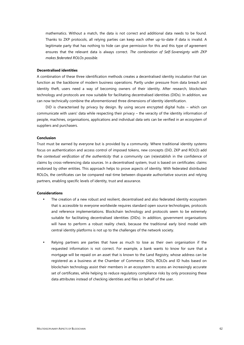mathematics. Without a match, the data is not correct and additional data needs to be found. Thanks to ZKP protocols, all relying parties can keep each other up-to-date if data is invalid. A legitimate party that has nothing to hide can give permission for this and this type of agreement ensures that the relevant data is always correct. *The combination of Self-Sovereignty with ZKP makes federated ROLOs possible.*

# **Decentralised identities**

A combination of these three identification methods creates a decentralised identity incubation that can function as the backbone of modern business operations. Partly under pressure from data breach and identity theft, users need a way of becoming owners of their identity. After research, blockchain technology and protocols are now suitable for facilitating decentralised identities (DIDs). In addition, we can now technically combine the aforementioned three dimensions of identity identification.

DiD is characterised by privacy by design. By using secure encrypted digital hubs – which can communicate with users' data while respecting their privacy – the veracity of the identity information of people, machines, organisations, applications and individual data sets can be verified in an ecosystem of suppliers and purchasers.

#### **Conclusion**

Trust must be earned by everyone but is provided by a community. Where traditional identity systems focus on authentication and access control of imposed tokens, new concepts (DiD, ZKP and ROLO) add the *contextual verification of the authenticity* that a community can (re)establish in the confidence of claims by cross-referencing data sources. In a decentralised system, trust is based on certificates: claims endorsed by other entities. This approach helps to prove aspects of identity. With federated distributed ROLOs, the certificates can be compared real-time between disparate authoritative sources and relying partners, enabling specific levels of identity, trust and assurance.

#### **Considerations**

- The creation of a new robust and resilient, decentralised and also federated identity ecosystem that is accessible to everyone worldwide requires standard open source technologies, protocols and reference implementations. Blockchain technology and protocols seem to be extremely suitable for facilitating decentralised identities (DIDs). In addition, government organisations will have to perform a robust reality check, because the traditional early bind model with central identity platforms is not up to the challenges of the network society.
- Relying partners are parties that have as much to lose as their own organisation if the requested information is not correct. For example, a bank wants to know for sure that a mortgage will be repaid on an asset that is known to the Land Registry, whose address can be registered as a business at the Chamber of Commerce. DIDs, ROLOs and ID hubs based on blockchain technology assist their members in an ecosystem to access an increasingly accurate set of certificates, while helping to reduce regulatory compliance risks by only processing these data attributes instead of checking identities and files on behalf of the user.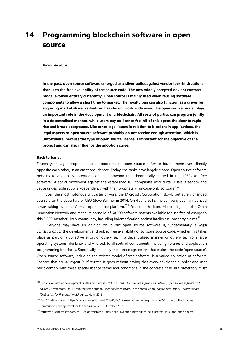# **14 Programming blockchain software in open source**

#### *Victor de Pous*

**In the past, open source software emerged as a silver bullet against vendor lock-in situations thanks to the free availability of the source code. The now widely accepted deviant contract model evolved entirely differently. Open source is mainly used when reusing software components to allow a short time to market. The royalty ban can also function as a driver for acquiring market share, as Android has shown, worldwide even. The open source model plays an important role in the development of a blockchain. All sorts of parties can program jointly in a decentralised manner, while users pay no licence fee. All of this opens the door to rapid rise and broad acceptance. Like other legal issues in relation to blockchain applications, the legal aspects of open source software probably do not receive enough attention. Which is unfortunate, because the type of open source licence is important for the objective of the project and can also influence the adoption curve.**

### **Back to basics**

Fifteen years ago, proponents and opponents to open source software found themselves directly opposite each other, in an emotional debate. Today, the ranks have largely closed. Open source software pertains to a globally-accepted legal phenomenon that theoretically started in the 1980s as 'free software'. A social movement against the established ICT companies who curtail users' freedom and cause undesirable supplier-dependency with their proprietary runcode-only software.<sup>150</sup>

Even the most notorious criticaster of yore, the Microsoft Corporation, slowly but surely changed course after the departure of CEO Steve Ballmer in 2014. On 4 June 2018, the company even announced it was taking over the GitHub open source platform.<sup>151</sup> Four months later, Microsoft joined the Open Innovation Network and made its portfolio of 60,000 software patents available for use free of charge to this 2,600-member Linux community, including indemnification against intellectual property claims.<sup>152</sup>

Everyone may have an opinion on it, but open source software is, fundamentally, a *legal construction for* the development and public, free availability of software source code, whether this takes place as part of a collective effort or otherwise, in a decentralised manner or otherwise. From large operating systems, like Linux and Android, to all sorts of components; including libraries and application programming interfaces. Specifically, it is only the licence agreement that makes the code 'open source'. Open source software, including the stricter model of free software, is a varied collection of software licences that are *divergent in character*. It goes without saying that every developer, supplier and user must comply with these special licence terms and conditions in the concrete case, but preferably must

<sup>150</sup> For an overview of developments in this domain, see: V.A. de Pous, *Open source software en politiek [Open source software and politics]*, Amsterdam, 2004. From the same author, *Open source software*, in the compilation *Digitaal recht voor IT-professionals [Digital law for IT professionals]*, Amsterdam, 2016.

<sup>&</sup>lt;sup>151</sup> For 7.5 billion dollars (https://news.microsoft.com/2018/06/04/microsoft-to-acquire-github-for-7-5-billion/). The European Commission gave approval for the acquisition on 19 October 2018.

<sup>152</sup> https://azure.microsoft.com/en-us/blog/microsoft-joins-open-invention-network-to-help-protect-linux-and-open-source/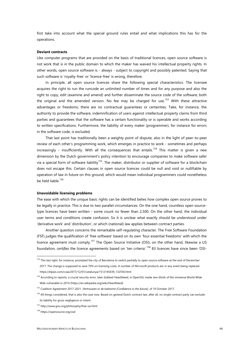first take into account what the special ground rules entail and what implications this has for the operations.

### **Deviant contracts**

Like computer programs that are provided on the basis of traditional licences, open source software is not work that is in the public domain to which the maker has waived his intellectual property rights. In other words, open source software is - always - subject to copyright and possibly patented. Saying that such software is 'royalty-free' or 'licence-free' is wrong, therefore.

In principle, all open source licences share the following special characteristics. The licensee acquires the right to run the runcode an unlimited number of times and for any purpose and also the right to copy, edit (examine and amend) and further disseminate the source code of the software; both the original and the amended version. No fee may be charged for use.<sup>153</sup> With these attractive advantages or freedoms, there are no contractual guarantees or certainties. Take, for instance, the authority to provide the software, indemnification of users against intellectual property claims from third parties and guarantees that the software has a certain functionality or is operable and works according to written specifications. Furthermore, the liability of every maker (programmer), for instance for errors in the software code, is excluded.

That last point has traditionally been a weighty point of dispute; also in the light of peer-to-peer review of each other's programming work, which emerges in practice to work - sometimes and perhaps increasingly - insufficiently. With all the consequences that entails.<sup>154</sup> This matter is given a new dimension by the Dutch government's policy intention to encourage companies to make software safer via a special form of software liability<sup>155</sup>. The maker, distributor or supplier of software for a blockchain does not escape this. Certain clauses in open source licences could be null and void or nullifiable by operation of law in future on this ground, which would mean individual programmers could nonetheless be held liable.<sup>156</sup>

#### **Unavoidable licensing problems**

The ease with which the unique basic rights can be identified belies how complex open source proves to be legally in practice. This is due to two parallel circumstances. On the one hand, countless open sourcetype licences have been written - some count no fewer than 2,500. On the other hand, the individual user terms and conditions create confusion. So it is unclear what exactly should be understood under 'derivative work' and 'distribution', or which (national) law applies between contract parties.

Another question concerns the remarkable self-regulating character. The Free Software Foundation (FSF) judges the qualification of 'free software' based on its own 'four essential freedoms' with which the licence agreement must comply.<sup>157</sup> The Open Source Initiative (OSI), on the other hand, likewise a US foundation, *certifies* the licence agreements based on 'ten criteria'.<sup>158</sup> 83 licences have since been 'OSI-

<sup>&</sup>lt;sup>153</sup> This last right, for instance, prompted the city of Barcelona to switch partially to open source software at the end of December 2017. The change is supposed to save 70% on licensing costs. A number of Microsoft products are in any event being replaced. https://elpais.com/ccaa/2017/12/01/catalunya/1512145439\_132556.html

<sup>154</sup> According to reports, a crucial security error, later dubbed Heartbleed, in OpenSSL made *two-thirds* of the immense World Wide Web vulnerable in 2014 (https://en.wikipedia.org/wiki/Heartbleed).

<sup>155</sup> Coalition Agreement 2017-2021, *Vertrouwen in de toekomst [Confidence in the future],* of 10 October 2017.

<sup>&</sup>lt;sup>156</sup> All things considered, that is also the case now. Based on general Dutch contract law, after all, no single contract party can exclude its liability for gross negligence or intent.

<sup>157</sup> http://www.gnu.org/philosophy/free-sw.html

<sup>158</sup> https://opensource.org/osd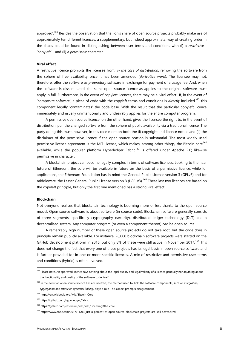approved'.<sup>159</sup> Besides the observation that the lion's share of open source projects probably make use of approximately ten different licences, a supplementary, but indeed approximate, way of creating order in the chaos could be found in distinguishing between user terms and conditions with (i) a *restrictive -* 'copyleft' - and (ii) a *permissive* character.

#### **Viral effect**

A restrictive licence prohibits the licensee from, *in the case of distribution*, removing the software from the sphere of free availability once it has been amended (*derivative work*). The licensee may not, therefore, offer the software as *proprietary* software in exchange for payment of a usage fee. And: when the software is disseminated, the same open source licence as applies to the original software must apply in full. Furthermore, in the event of copyleft licences, there may be a 'viral effect'. If, in the event of 'composite software', a piece of code with the copyleft terms and conditions is *directly* included*<sup>160</sup>*, this component legally 'contaminates' the code base. With the result that the particular copyleft licence immediately and usually unintentionally and undesirably applies for the entire computer program.

A permissive open source licence, on the other hand, gives the licensee the right to, in the event of distribution, pull the changed software from the sphere of public availability via a traditional licence. The party doing this must, however, in this case mention both the (i) copyright and licence notice and (ii) the disclaimer of the permissive licence if the open source portion is substantial. The most widely used permissive licence agreement is the MIT License, which makes, among other things, the Bitcoin core<sup>161</sup> available, while the popular platform Hyperledger Fabric<sup>162</sup> is offered under Apache 2.0; likewise permissive in character.

A blockchain project can become legally complex in terms of software licences. Looking to the near future of Ethereum: the core will be available in future on the basis of a permissive licence, while for applications, the Ethereum Foundation has in mind the General Public License version 3 (GPLv3) and for middleware, the Lesser General Public License version 3 (LGPLv3).<sup>163</sup> These last two licences are based on the copyleft principle, but only the first one mentioned has a strong viral effect.

#### **Blockchain**

Not everyone realises that blockchain technology is booming more or less thanks to the open source model. Open source software is about software (in source code). Blockchain software generally consists of three segments, specifically cryptography (security), distributed ledger technology (DLT) and a decentralised system. Any computer program (or even a component thereof) *can* be open source.

A remarkably high number of these open source projects do not take root, but the code does in principle remain publicly available. For instance, 26,000 blockchain software projects were started on the GitHub development platform in 2016, but only 8% of these were still active in November 2017.<sup>164</sup> This does not change the fact that every one of these projects has its legal basis in open source software and is further provided for in one or more specific licences. A mix of restrictive and permissive user terms and conditions (hybrid) is often involved.

<sup>&</sup>lt;sup>159</sup> Please note. An approved licence says nothing about the legal quality and legal validity of a licence generally nor anything about the functionality and quality of the software code itself.

<sup>160</sup> In the event an open source licence has a viral effect, the method used to 'link' the software components, such as *integration*, *aggregation* and *(static or dynamic) linking,* plays a role*.* This aspect prompts disagreement.

<sup>161</sup> https://en.wikipedia.org/wiki/Bitcoin\_Core

<sup>162</sup> https://github.com/hyperledger/fabric

<sup>163</sup> https://github.com/ethereum/wiki/wiki/Licensing#the-core

<sup>164</sup> https://www.cnbc.com/2017/11/09/just-8-percent-of-open-source-blockchain-projects-are-still-active.html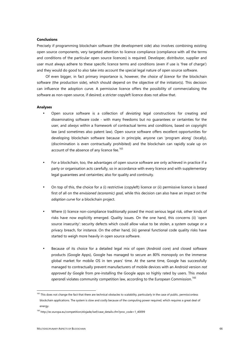# **Conclusions**

Precisely if programming blockchain software (the development side) also involves combining existing open source components, very targeted attention to licence compliance (compliance with *all* the terms and conditions of the particular open source licences) is required. Developer, distributor, supplier and user must always adhere to these specific licence terms and conditions (even if use is 'free of charge') and they would do good to also take into account the special legal nature of open source software.

Of even bigger, in fact primary importance is, however, the *choice of licence* for the blockchain software (the production side), which should depend on the objective of the initiator(s). This decision can influence the adoption curve. A permissive licence offers the possibility of commercialising the software as non-open source, if desired; a stricter copyleft licence does not allow that.

#### **Analyses**

- Open source software is a collection of *deviating* legal constructions for creating and disseminating software code - with many freedoms but no guarantees or certainties for the user, and *always* within a framework of contractual terms and conditions, based on copyright law (and sometimes also patent law). Open source software offers excellent opportunities for developing blockchain software because in principle, anyone can 'program along' (locally), (discrimination is even contractually prohibited) and the blockchain can rapidly scale up on account of the absence of any licence fee.<sup>165</sup>
- For a blockchain, too, the advantages of open source software are only achieved in practice if a party or organisation acts carefully, so in accordance with every licence and with supplementary legal guarantees and certainties; also for quality and continuity.
- On top of this, the choice for a (i) restrictive (copyleft) licence or (ii) permissive licence is based first of all on the *envisioned (economic) goal*, while this decision can also have an impact on the *adoption curve* for a blockchain project.
- Where (i) licence non-compliance traditionally posed the most serious legal risk, other kinds of risks have now explicitly emerged. Quality issues. On the one hand, this concerns (ii) 'open source insecurity': security defects which could allow value to be stolen, a system outage or a privacy breach, for instance. On the other hand, (iii) general functional code quality risks have started to weigh more heavily in open source software.
- Because of its choice for a detailed legal mix of open (Android core) and closed software products (Google Apps), Google has managed to secure an 80% monopoly on the immense global market for mobile OS in ten years' time. At the same time, Google has successfully managed to contractually prevent manufacturers of mobile devices with an Android version *not approved by Google* from pre-installing the Google apps so highly rated by users. This *modus operandi* violates community competition law, according to the European Commission.<sup>166</sup>

<sup>&</sup>lt;sup>165</sup> This does not change the fact that there are technical obstacles to scalability, particularly in the case of public, permissionless blockchain applications. The system is slow and costly because of the computing power required, which requires a great deal of

energy

<sup>&</sup>lt;sup>166</sup> http://ec.europa.eu/competition/elojade/isef/case\_details.cfm?proc\_code=1\_40099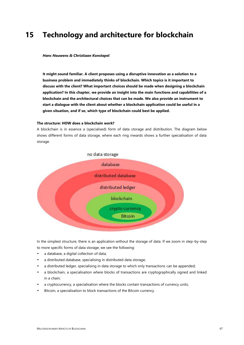# **15 Technology and architecture for blockchain**

#### *Hans Nouwens & Christiaan Konstapel*

**It might sound familiar. A client proposes using a disruptive innovation as a solution to a business problem and immediately thinks of blockchain. Which topics is it important to discuss with the client? What important choices should be made when designing a blockchain application? In this chapter, we provide an insight into the main functions and capabilities of a blockchain and the architectural choices that can be made. We also provide an instrument to start a dialogue with the client about whether a blockchain application could be useful in a given situation, and if so, which type of blockchain could best be applied.**

# **The structure: HOW does a blockchain work?**

A blockchain is in essence a (specialised) form of data storage and distribution. The diagram below shows different forms of data storage, where each ring inwards shows a further specialisation of data storage.



In the simplest structure, there is an application without the storage of data. If we zoom in step-by-step to more specific forms of data storage, we see the following:

- a database, a digital collection of data;
- a distributed database, specialising in distributed data storage;
- a distributed ledger, specialising in data storage to which only transactions can be appended;
- a blockchain, a specialisation where blocks of transactions are cryptographically signed and linked in a chain;
- a cryptocurrency, a specialisation where the blocks contain transactions of currency units;
- Bitcoin, a specialisation to block transactions of the Bitcoin currency.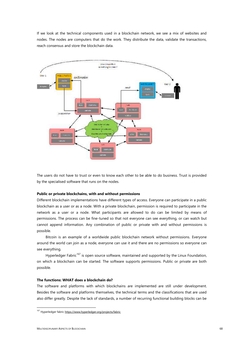If we look at the technical components used in a blockchain network, we see a mix of websites and nodes. The nodes are computers that do the work. They distribute the data, validate the transactions, reach consensus and store the blockchain data.



The users do not have to trust or even to know each other to be able to do business. Trust is provided by the specialised software that runs on the nodes.

### **Public or private blockchains, with and without permissions**

Different blockchain implementations have different types of access. Everyone can participate in a public blockchain as a user or as a node. With a private blockchain, permission is required to participate in the network as a user or a node. What participants are allowed to do can be limited by means of permissions. The process can be fine-tuned so that not everyone can see everything, or can watch but cannot append information. Any combination of public or private with and without permissions is possible.

Bitcoin is an example of a worldwide public blockchain network without permissions. Everyone around the world can join as a node, everyone can use it and there are no permissions so everyone can see everything.

Hyperledger Fabric<sup>167</sup> is open source software, maintained and supported by the Linux Foundation, on which a blockchain can be started. The software supports permissions. Public or private are both possible.

# **The functions: WHAT does a blockchain do?**

The software and platforms with which blockchains are implemented are still under development. Besides the software and platforms themselves, the technical terms and the classifications that are used also differ greatly. Despite the lack of standards, a number of recurring functional building blocks can be

<sup>167</sup> Hyperledger fabric https://www.hyperledger.org/projects/fabric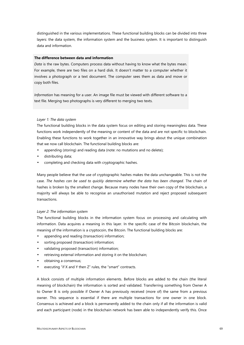distinguished in the various implementations. These functional building blocks can be divided into three layers: the data system, the information system and the business system. It is important to distinguish data and information.

# **The difference between data and information**

*Data* is the raw bytes. Computers process data without having to know what the bytes mean. For example, there are two files on a hard disk. It doesn't matter to a computer whether it involves a photograph or a text document. The computer sees them as data and move or copy both files.

*Information* has meaning for a user. An image file must be viewed with different software to a text file. Merging two photographs is very different to merging two texts.

#### *Layer 1: The data system*

The functional building blocks in the data system focus on editing and storing meaningless data. These functions work independently of the meaning or content of the data and are not specific to blockchain. Enabling these functions to work together in an innovative way brings about the unique combination that we now call blockchain. The functional building blocks are:

- appending (storing) and reading data (note: no mutations and no delete);
- distributing data;
- completing and checking data with cryptographic hashes.

Many people believe that the use of cryptographic hashes makes the data unchangeable. This is not the case. *The hashes can be used to quickly determine whether the data has been changed*. The chain of hashes is broken by the smallest change. Because many nodes have their own copy of the blockchain, a majority will always be able to recognise an unauthorised mutation and reject proposed subsequent transactions.

#### *Layer 2: The information system*

The functional building blocks in the information system focus on processing and calculating with information. Data acquires a meaning in this layer. In the specific case of the Bitcoin blockchain, the meaning of the information is a cryptocoin, the Bitcoin. The functional building blocks are:

- appending and reading (transaction) information;
- sorting proposed (transaction) information;
- validating proposed (transaction) information;
- retrieving external information and storing it on the blockchain;
- obtaining a consensus;
- executing "if X and Y then Z" rules, the "smart" contracts.

A block consists of multiple information elements. Before blocks are added to the chain (the literal meaning of blockchain) the information is sorted and validated. Transferring something from Owner A to Owner B is only possible if Owner A has previously received (more of) the same from a previous owner. This sequence is essential if there are multiple transactions for one owner in one block. Consensus is achieved and a block is permanently added to the chain only if all the information is valid and each participant (node) in the blockchain network has been able to independently verify this. Once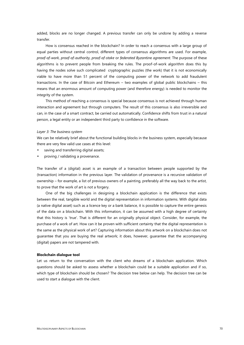added, blocks are no longer changed. A previous transfer can only be undone by adding a reverse transfer.

How is consensus reached in the blockchain? In order to reach a consensus with a large group of equal parties without central control, different types of consensus algorithms are used. For example, *proof-of-work, proof-of-authority, proof-of-stake* or *federated Byzantin*e *agreement*. The purpose of these algorithms is to prevent people from breaking the rules. The proof-of-work algorithm does this by having the nodes solve such complicated cryptographic puzzles (the work) that it is not economically viable to have more than 51 percent of the computing power of the network to add fraudulent transactions. In the case of Bitcoin and Ethereum – two examples of global public blockchains – this means that an enormous amount of computing power (and therefore energy) is needed to monitor the integrity of the system.

This method of reaching a consensus is special because consensus is not achieved through human interaction and agreement but through computers. The result of this consensus is also irreversible and can, in the case of a smart contract, be carried out automatically. Confidence shifts from trust in a natural person, a legal entity or an independent third party to confidence in the software.

#### *Layer 3: The business system*

We can be relatively brief about the functional building blocks in the business system, especially because there are very few valid use cases at this level:

- saving and transferring digital assets;
- proving / validating a provenance.

The transfer of a (digital) asset is an example of a transaction between people supported by the (transaction) information in the previous layer. The validation of provenance is a recursive validation of ownership – for example, a list of previous owners of a painting, preferably all the way back to the artist, to prove that the work of art is not a forgery.

One of the big challenges in designing a blockchain application is the difference that exists between the real, tangible world and the digital representation in information systems. With digital data (a native digital asset) such as a licence key or a bank balance, it is possible to capture the entire genesis of the data on a blockchain. With this information, it can be assumed with a high degree of certainty that this history is 'true'. That is different for an originally physical object. Consider, for example, the purchase of a work of art. How can it be proven with sufficient certainty that the digital representation is the same as the physical work of art? Capturing information about this artwork on a blockchain does not guarantee that you are buying the real artwork; it does, however, guarantee that the accompanying (digital) papers are not tampered with.

#### **Blockchain dialogue tool**

Let us return to the conversation with the client who dreams of a blockchain application. Which questions should be asked to assess whether a blockchain could be a suitable application and if so, which type of blockchain should be chosen? The decision tree below can help. The decision tree can be used to start a dialogue with the client.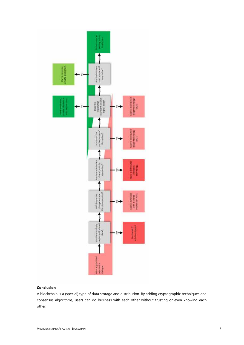

# **Conclusion**

A blockchain is a (special) type of data storage and distribution. By adding cryptographic techniques and consensus algorithms, users can do business with each other without trusting or even knowing each other.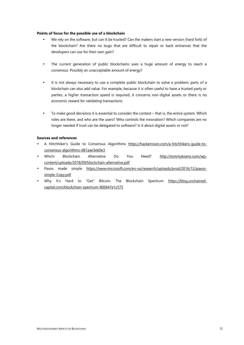# **Points of focus for the possible use of a blockchain**

- We rely on the software, but can it be trusted? Can the makers start a new version (hard fork) of the blockchain? Are there no bugs that are difficult to repair or back entrances that the developers can use for their own gain?
- The current generation of public blockchains uses a huge amount of energy to reach a consensus. Possibly an unacceptable amount of energy?
- It is not always necessary to use a complete public blockchain to solve a problem; parts of a blockchain can also add value. For example, because it is often useful to have a trusted party or parties, a higher transaction speed is required, it concerns non-digital assets or there is no economic reward for validating transactions.
- To make good decisions it is essential to consider the context that is, the entire system. Which roles are there, and who are the users? Who controls the innovation? Which companies are no longer needed if trust can be delegated to software? Is it about digital assets or not?

#### **Sources and references**

- A Hitchhiker's Guide to Consensus Algorithms https://hackernoon.com/a-hitchhikers-guide-to consensus-algorithms-d81aae3eb0e3
- Which Blockchain Alternative Do You Need? http://tommykoens.com/wp content/uploads/2018/09/blockchain-alternative.pdf
- Paxos made simple https://www.microsoft.com/en-us/research/uploads/prod/2016/12/paxos simple-Copy.pdf
- Why It's Hard to "Get" Bitcoin: The Blockchain Spectrum https://blog.unchained capital.com/blockchain-spectrum-806847e1c575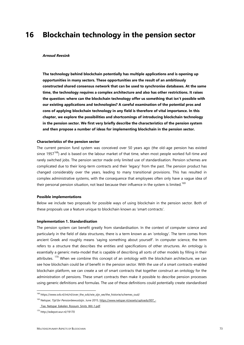## **16 Blockchain technology in the pension sector**

#### *Arnoud Reesink*

**The technology behind blockchain potentially has multiple applications and is opening up opportunities in many sectors. These opportunities are the result of an ambitiously constructed shared consensus network that can be used to synchronise databases. At the same time, the technology requires a complex architecture and also has other restrictions. It raises the question: where can the blockchain technology offer us something that isn't possible with our existing applications and technologies? A careful examination of the potential pros and cons of applying blockchain technology in any field is therefore of vital importance. In this chapter, we explore the possibilities and shortcomings of introducing blockchain technology in the pension sector. We first very briefly describe the characteristics of the pension system and then propose a number of ideas for implementing blockchain in the pension sector.**

## **Characteristics of the pension sector**

The current pension fund system was conceived over 50 years ago (the old-age pension has existed since 1957 $168$ ) and is based on the labour market of that time, when most people worked full-time and rarely switched jobs. The pension sector made only limited use of standardisation. Pension schemes are complicated due to their long-term contracts and their 'legacy' from the past. The pension product has changed considerably over the years, leading to many transitional provisions. This has resulted in complex administrative systems, with the consequence that employees often only have a vague idea of their personal pension situation, not least because their influence in the system is limited.<sup>169</sup>

#### **Possible implementations**

Below we include two proposals for possible ways of using blockchain in the pension sector. Both of these proposals use a feature unique to blockchain known as 'smart contracts'.

### **Implementation 1. Standardisation**

The pension system can benefit greatly from standardisation. In the context of computer science and particularly in the field of data structures, there is a term known as an 'ontology'. The term comes from ancient Greek and roughly means 'saying something about yourself'. In computer science, the term refers to a structure that describes the entities and specifications of other structures. An ontology is essentially a generic meta-model that is capable of describing all sorts of other models by filling in their attributes.<sup>170</sup> When we combine this concept of an ontology with the blockchain architecture, we can see how blockchain could be of benefit in the pension sector. With the use of a smart contracts-enabled blockchain platform, we can create a set of smart contracts that together construct an ontology for the administration of pensions. These smart contracts then make it possible to describe pension processes using generic definitions and formulas. The use of these definitions could potentially create standardised

<sup>&</sup>lt;sup>168</sup> https://www.svb.nl/int/nl/over\_the\_svb/wie\_zijn\_we/the\_historie/schemes\_oud/

<sup>169</sup> Netspar, *Tijd for Pensionbewustzijn,* June 2015, https://www.netspar.nl/assets/uploads/007\_-

Tias Netspar Eekelen Rossum Smits Wit-1.pdf

<sup>170</sup> http://edepot.wur.nl/19170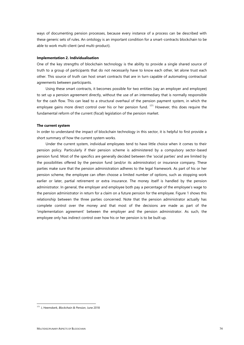ways of documenting pension processes, because every instance of a process can be described with these generic sets of rules. An ontology is an important condition for a smart-contracts blockchain to be able to work multi-client (and multi-product).

#### **Implementation 2. Individualisation**

One of the key strengths of blockchain technology is the ability to provide a single shared source of truth to a group of participants that do not necessarily have to know each other, let alone trust each other. This source of truth can host smart contracts that are in turn capable of automating contractual agreements between participants.

Using these smart contracts, it becomes possible for two entities (say an employer and employee) to set up a pension agreement directly, without the use of an intermediary that is normally responsible for the cash flow. This can lead to a structural overhaul of the pension payment system, in which the employee gains more direct control over his or her pension fund.<sup>171</sup> However, this does require the fundamental reform of the current (fiscal) legislation of the pension market.

#### **The current system**

In order to understand the impact of blockchain technology in this sector, it is helpful to first provide a short summary of how the current system works.

Under the current system, individual employees tend to have little choice when it comes to their pension policy. Particularly if their pension scheme is administered by a compulsory sector-based pension fund. Most of the specifics are generally decided between the 'social parties' and are limited by the possibilities offered by the pension fund (and/or its administrator) or insurance company. These parties make sure that the pension administration adheres to the legal framework. As part of his or her pension scheme, the employee can often choose a limited number of options, such as stopping work earlier or later, partial retirement or extra insurance. The money itself is handled by the pension administrator. In general, the employer and employee both pay a percentage of the employee's wage to the pension administrator in return for a claim on a future pension for the employee. Figure 1 shows this relationship between the three parties concerned. Note that the pension administrator actually has complete control over the money and that most of the decisions are made as part of the 'implementation agreement' between the employer and the pension administrator. As such, the employee only has indirect control over how his or her pension is to be built up.

<sup>171</sup> J, Heemskerk, *Blockchain & Pension*, June 2018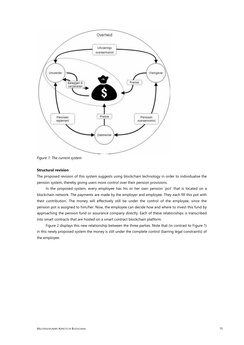

*Figure 1: The current system*

### **Structural revision**

The proposed revision of this system suggests using blockchain technology in order to individualise the pension system, thereby giving users more control over their pension provisions.

In the proposed system, every employee has his or her own pension 'pot' that is located on a blockchain network. The payments are made by the employer and employee. They each fill this pot with their contribution. The money will effectively still be under the control of the employee, since the pension pot is assigned to him/her. Now, the employee can decide how and where to invest this fund by approaching the pension fund or assurance company directly. Each of these relationships is transcribed into smart contracts that are hosted on a smart contract blockchain platform.

Figure 2 displays this new relationship between the three parties. Note that (in contrast to Figure 1) in this newly proposed system the money is still under the complete control (barring legal constraints) of the employee.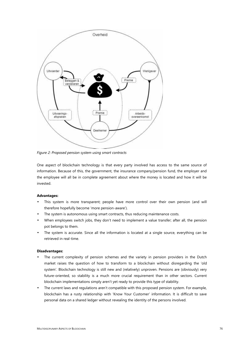

*Figure 2: Proposed pension system using smart contracts*

One aspect of blockchain technology is that every party involved has access to the same source of information. Because of this, the government, the insurance company/pension fund, the employer and the employee will all be in complete agreement about where the money is located and how it will be invested.

## **Advantages:**

- This system is more transparent; people have more control over their own pension (and will therefore hopefully become 'more pension-aware').
- The system is autonomous using smart contracts, thus reducing maintenance costs.
- When employees switch jobs, they don't need to implement a value transfer; after all, the pension pot belongs to them.
- The system is accurate. Since all the information is located at a single source, everything can be retrieved in real-time.

## **Disadvantages:**

- The current complexity of pension schemes and the variety in pension providers in the Dutch market raises the question of how to transform to a blockchain without disregarding the 'old system'. Blockchain technology is still new and (relatively) unproven. Pensions are (obviously) very future-oriented, so stability is a much more crucial requirement than in other sectors. Current blockchain implementations simply aren't yet ready to provide this type of stability.
- The current laws and regulations aren't compatible with this proposed pension system. For example, blockchain has a rusty relationship with 'Know Your Customer' information. It is difficult to save personal data on a shared ledger without revealing the identity of the persons involved.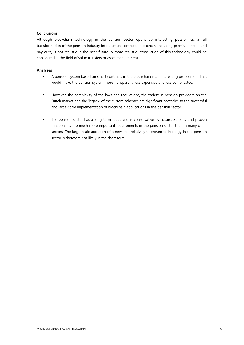## **Conclusions**

Although blockchain technology in the pension sector opens up interesting possibilities, a full transformation of the pension industry into a smart-contracts blockchain, including premium intake and pay-outs, is not realistic in the near future. A more realistic introduction of this technology could be considered in the field of value transfers or asset management.

## **Analyses**

- A pension system based on smart contracts in the blockchain is an interesting proposition. That would make the pension system more transparent, less expensive and less complicated.
- However, the complexity of the laws and regulations, the variety in pension providers on the Dutch market and the 'legacy' of the current schemes are significant obstacles to the successful and large-scale implementation of blockchain applications in the pension sector.
- The pension sector has a long-term focus and is conservative by nature. Stability and proven functionality are much more important requirements in the pension sector than in many other sectors. The large-scale adoption of a new, still relatively unproven technology in the pension sector is therefore not likely in the short term.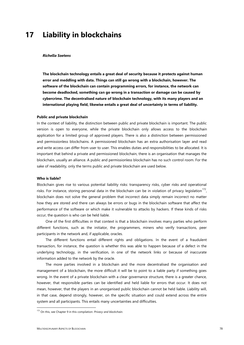## **17 Liability in blockchains**

#### *Richella Soetens*

**The blockchain technology entails a great deal of security because it protects against human error and meddling with data. Things can still go wrong with a blockchain, however. The software of the blockchain can contain programming errors, for instance, the network can become deadlocked, something can go wrong in a transaction or damage can be caused by cybercrime. The decentralised nature of blockchain technology, with its many players and an international playing field, likewise entails a great deal of uncertainty in terms of liability.**

#### **Public and private blockchain**

In the context of liability, the distinction between public and private blockchain is important. The public version is open to everyone, while the private blockchain only allows access to the blockchain application for a limited group of approved players. There is also a distinction between permissioned and permissionless blockchains. A permissioned blockchain has an extra authorisation layer and read and write access can differ from user to user. This enables duties and responsibilities to be allocated. It is important that behind a private and permissioned blockchain, there is an organisation that manages the blockchain, usually an alliance. A public and permissionless blockchain has no such control room. For the sake of readability, only the terms public and private blockchain are used below.

#### **Who is liable?**

Blockchain gives rise to various potential liability risks: transparency risks, cyber risks and operational risks. For instance, storing personal data in the blockchain can be in violation of privacy legislation<sup>172</sup>, blockchain does not solve the general problem that incorrect data simply remain incorrect no matter how they are stored and there can always be errors or bugs in the blockchain software that affect the performance of the software or which make it vulnerable to attacks by hackers. If these kinds of risks occur, the question is who can be held liable.

One of the first difficulties in that context is that a blockchain involves many parties who perform different functions, such as the initiator, the programmers, miners who verify transactions, peer participants in the network and, if applicable, oracles.

The different functions entail different rights and obligations. In the event of a fraudulent transaction, for instance, the question is whether this was able to happen because of a defect in the underlying technology, in the verification, in one of the network links or because of inaccurate information added to the network by the oracle.

The more parties involved in a blockchain and the more decentralised the organisation and management of a blockchain, the more difficult it will be to point to a liable party if something goes wrong. In the event of a private blockchain with a clear governance structure, there is a greater chance, however, that responsible parties can be identified and held liable for errors that occur. It does not mean, however, that the players in an unorganised public blockchain cannot be held liable. Liability will, in that case, depend strongly, however, on the specific situation and could extend across the entire system and all participants. This entails many uncertainties and difficulties.

<sup>172</sup> On this, see Chapter 9 in this compilation: *Privacy and blockchain*.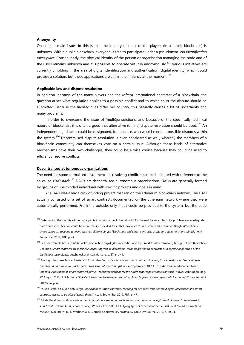#### **Anonymity**

One of the main issues in this is that the identity of most of the players (in a public blockchain) is unknown. With a public blockchain, everyone is free to participate under a pseudonym. *No identification takes place.* Consequently, the physical identity of the person or organisation managing the node and of the users remains unknown and it is possible to operate virtually anonymously.<sup>173</sup> Various initiatives are currently unfolding in the area of digital identification and authentication (digital identity) which could provide a solution, but these applications are still in their infancy at the moment.<sup>174</sup>

## **Applicable law and dispute resulution**

In addition, because of the many players and the (often) international character of a blockchain, the question arises what regulation applies to a possible conflict and to which court the dispute should be submitted. Because the liability rules differ per country, this naturally causes a lot of uncertainty and many problems.

In order to overcome the issue of (multi)jurisdictions, and because of the specifically technical nature of blockchain, it is often argued that alternative (online) dispute resolution should be used.<sup>175</sup> An independent adjudicator could be designated, for instance, who would consider possible disputes within the system.<sup>176</sup> Decentralised dispute resolution is even considered as well, whereby the members of a blockchain community can themselves vote on a certain issue. Although these kinds of alternative mechanisms have their own challenges, they could be a wise choice because they could be used to efficiently resolve conflicts.

#### **Decentralised autonomous organisations**

The need for some formalised instrument for resolving conflicts can be illustrated with reference to the so-called *DAO hack.*<sup>177</sup> DAOs are decentralised autonomous organisations. DAOs are generally formed by groups of like-minded individuals with specific projects and goals in mind.

*The DAO* was a large crowdfunding project that ran on the Ethereum blockchain network. The DAO actually consisted of a set of smart contracts documented on the Ethereum network where they were automatically performed. From the outside, only input could be provided to the system, but the code

<sup>&</sup>lt;sup>173</sup> Determining the identity of the participants in a private blockchain should, for the rest, be much less of a problem, since adequate participant identification could be more readily provided for in that. Likewise: M. van Eersel and T. van den Bergh, *Blockchain en smart contracts: toegang tot een reeks van slimme dingen [Blockchain and smart contracts: access to a series of smart things]*, no. 4, September 2017, FRP, p. 47.

<sup>174</sup> See, for example https://dutchblockchaincoalition.org/digital-indentities and the Smart Contract Working Group - Dutch Blockchain Coalition, *Smart contracts als specifieke toepassing van de blockchain-technologie [Smart contracts as a specific application of the blockchain technology]*, dutchblockchaincoalition.org, p. 37 and 44.

<sup>175</sup> Among others, see M. van Eersel and T. van den Bergh, *Blockchain en smart contracts: toegang tot een reeks van slimme dingen [Blockchain and smart contracts: access to a series of smart things]*, no. 4, September 2017, FRP, p. 47; Ibrahim Mohamed Nour Shehata, *Arbitration of smart contracts part 2 – recommendations for the future landscape of smart contracts*, Kluwer Arbitration Blog, 27 August 2018; H. Schuringa, '*Enkele civielrechtelijke aspecten van blockchain' [A few civil-law aspects of blockchain]*, Computerrecht 2017/254, p. 4.

<sup>176</sup> M. van Eersel en T. van den Bergh, *Blockchain en smart contracts: toegang tot een reeks van slimme dingen [Blockchain and smart contracts: access to a series of smart things]*, no. 4, September 2017, FRP, p. 47;

<sup>177</sup> T.J. de Graaf, *Van oud naar nieuw: van internet naar smart contracts en van mensen naar code [From old to new: from internet to smart contracts and from people to code]*, WPNR 7199-7200; T.F.E. Tjong Tjin Tai, *Smart contracts en het recht [Smart contracts and the law]*, NJB 2017/146; K. Werbach & N. Cornell, *Contracts Ex Machina*, 67 Duke Law Journal 2017, p. 30-31.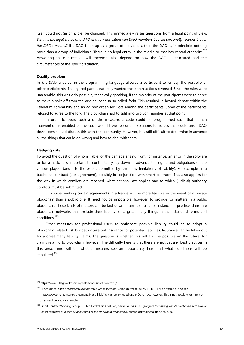itself could not (in principle) be changed. This immediately raises questions from a legal point of view. *What is the legal status of a DAO and to what extent can DAO members be held personally responsible for the DAO's actions?* If a DAO is set up as a group of individuals, then the DAO is, in principle, nothing more than a group of individuals. There is no legal entity in the middle or that has central authority.<sup>178</sup> Answering these questions will therefore also depend on how the DAO is structured and the circumstances of the specific situation.

#### **Quality problem**

In *The DAO*, a defect in the programming language allowed a participant to 'empty' the portfolio of other participants. The injured parties naturally wanted these transactions reversed. Since the rules were unalterable, this was only possible, technically speaking, if the majority of the participants were to agree to make a split-off from the original code (a so-called fork). This resulted in heated debate within the Ethereum community and an ad hoc organised vote among the participants. Some of the participants refused to agree to the fork. The blockchain had to split into two communities at that point.

In order to avoid such a drastic measure, a code could be programmed such that human intervention is enabled or the code would have to contain solutions for issues that could arise. DAO developers should discuss this with the community. However, it is still difficult to determine in advance all the things that could go wrong and how to deal with them.

#### **Hedging risks**

To avoid the question of who is liable for the damage arising from, for instance, an error in the software or for a hack, it is important to contractually lay down in advance the rights and obligations of the various players (and - to the extent permitted by law - any limitations of liability). For example, in a traditional contract (use agreement), possibly in conjunction with smart contracts. This also applies for the way in which conflicts are resolved, what national law applies and to which (judicial) authority conflicts must be submitted.

Of course, making certain agreements in advance will be more feasible in the event of a private blockchain than a public one. It need not be impossible, however, to provide for matters in a public blockchain. These kinds of matters can be laid down in terms of use, for instance. In practice, there are blockchain networks that exclude their liability for a great many things in their standard terms and conditions.<sup>179</sup>

Other measures for professional users to anticipate possible liability could be to adopt a blockchain-related risk budget or take out insurance for potential liabilities. Insurance can be taken out for a great many liability claims. The question is whether this will also be possible (in the future) for claims relating to blockchain, however. The difficulty here is that there are not yet any best practices in this area. Time will tell whether insurers see an opportunity here and what conditions will be stipulated.<sup>180</sup>

<sup>178</sup> https://www.uitlegblockchain.nl/wetgeving-smart-contracts/

<sup>179</sup> H. Schuringa, *Enkele civielrechtelijke aspecten van blockchain*, Computerrecht 2017/254, p. 4. For an example, also see https://www.ethereum.org/agreement. Not all liability can be excluded under Dutch law, however. This is not possible for intent or gross negligence, for example.

<sup>180</sup> Smart Contract Working Group - Dutch Blockchain Coalition, *Smart contracts als specifieke toepassing van de blockchain-technologie [Smart contracts as a specific application of the blockchain technology]*, dutchblockchaincoalition.org, p. 38.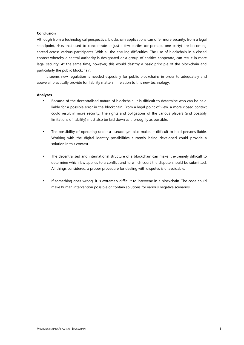## **Conclusion**

Although from a technological perspective, blockchain applications can offer more security, from a legal standpoint, risks that used to concentrate at just a few parties (or perhaps one party) are becoming spread across various participants. With all the ensuing difficulties. The use of blockchain in a closed context whereby a central authority is designated or a group of entities cooperate, can result in more legal security. At the same time, however, this would destroy a basic principle of the blockchain and particularly the public blockchain.

It seems new regulation is needed especially for public blockchains in order to adequately and above all practically provide for liability matters in relation to this new technology.

#### **Analyses**

- Because of the decentralised nature of blockchain, it is difficult to determine who can be held liable for a possible error in the blockchain. From a legal point of view, a more closed context could result in more security. The rights and obligations of the various players (and possibly limitations of liability) must also be laid down as thoroughly as possible.
- The possibility of operating under a pseudonym also makes it difficult to hold persons liable. Working with the digital identity possibilities currently being developed could provide a solution in this context.
- The decentralised and international structure of a blockchain can make it extremely difficult to determine which law applies to a conflict and to which court the dispute should be submitted. All things considered, a proper procedure for dealing with disputes is unavoidable.
- If something goes wrong, it is extremely difficult to intervene in a blockchain. The code could make human intervention possible or contain solutions for various negative scenarios.